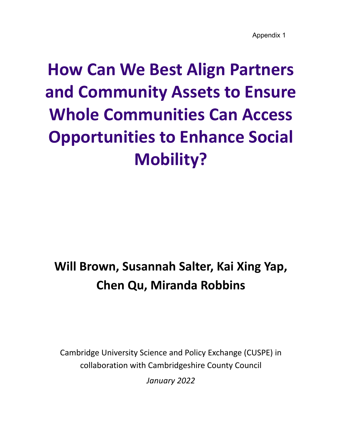Appendix 1

# **How Can We Best Align Partners and Community Assets to Ensure Whole Communities Can Access Opportunities to Enhance Social Mobility?**

## **Will Brown, Susannah Salter, Kai Xing Yap, Chen Qu, Miranda Robbins**

Cambridge University Science and Policy Exchange (CUSPE) in collaboration with Cambridgeshire County Council

*January 2022*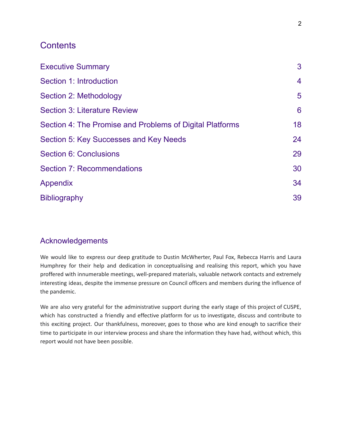## **Contents**

| <b>Executive Summary</b>                                 | 3              |
|----------------------------------------------------------|----------------|
| Section 1: Introduction                                  | 4              |
| Section 2: Methodology                                   | $5\phantom{1}$ |
| <b>Section 3: Literature Review</b>                      | $6\phantom{1}$ |
| Section 4: The Promise and Problems of Digital Platforms | 18             |
| Section 5: Key Successes and Key Needs                   | 24             |
| <b>Section 6: Conclusions</b>                            | 29             |
| <b>Section 7: Recommendations</b>                        | 30             |
| <b>Appendix</b>                                          | 34             |
| <b>Bibliography</b>                                      | 39             |

## Acknowledgements

We would like to express our deep gratitude to Dustin McWherter, Paul Fox, Rebecca Harris and Laura Humphrey for their help and dedication in conceptualising and realising this report, which you have proffered with innumerable meetings, well-prepared materials, valuable network contacts and extremely interesting ideas, despite the immense pressure on Council officers and members during the influence of the pandemic.

We are also very grateful for the administrative support during the early stage of this project of CUSPE, which has constructed a friendly and effective platform for us to investigate, discuss and contribute to this exciting project. Our thankfulness, moreover, goes to those who are kind enough to sacrifice their time to participate in our interview process and share the information they have had, without which, this report would not have been possible.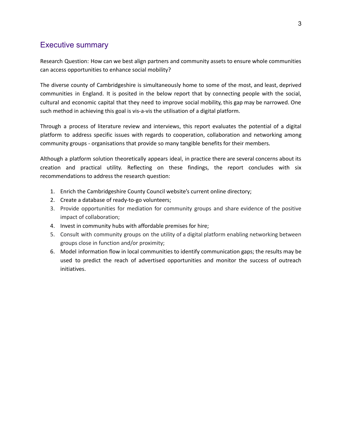## Executive summary

Research Question: How can we best align partners and community assets to ensure whole communities can access opportunities to enhance social mobility?

The diverse county of Cambridgeshire is simultaneously home to some of the most, and least, deprived communities in England. It is posited in the below report that by connecting people with the social, cultural and economic capital that they need to improve social mobility, this gap may be narrowed. One such method in achieving this goal is vis-a-vis the utilisation of a digital platform.

Through a process of literature review and interviews, this report evaluates the potential of a digital platform to address specific issues with regards to cooperation, collaboration and networking among community groups - organisations that provide so many tangible benefits for their members.

Although a platform solution theoretically appears ideal, in practice there are several concerns about its creation and practical utility. Reflecting on these findings, the report concludes with six recommendations to address the research question:

- 1. Enrich the Cambridgeshire County Council website's current online directory;
- 2. Create a database of ready-to-go volunteers;
- 3. Provide opportunities for mediation for community groups and share evidence of the positive impact of collaboration;
- 4. Invest in community hubs with affordable premises for hire;
- 5. Consult with community groups on the utility of a digital platform enabling networking between groups close in function and/or proximity;
- 6. Model information flow in local communities to identify communication gaps; the results may be used to predict the reach of advertised opportunities and monitor the success of outreach initiatives.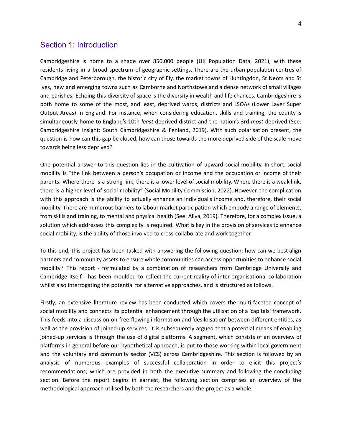## <span id="page-3-0"></span>Section 1: Introduction

Cambridgeshire is home to a shade over 850,000 people (UK Population Data, 2021), with these residents living in a broad spectrum of geographic settings. There are the urban population centres of Cambridge and Peterborough, the historic city of Ely, the market towns of Huntingdon, St Neots and St Ives, new and emerging towns such as Camborne and Northstowe and a dense network of small villages and parishes. Echoing this diversity of space is the diversity in wealth and life chances. Cambridgeshire is both home to some of the most, and least, deprived wards, districts and LSOAs (Lower Layer Super Output Areas) in England. For instance, when considering education, skills and training, the county is simultaneously home to England's 10th *least* deprived district and the nation's 3rd *most* deprived (See: Cambridgeshire Insight: South Cambridgeshire & Fenland, 2019). With such polarisation present, the question is how can this gap be closed, how can those towards the more deprived side of the scale move towards being less deprived?

One potential answer to this question lies in the cultivation of upward social mobility. In short, social mobility is "the link between a person's occupation or income and the occupation or income of their parents. Where there is a strong link, there is a lower level of social mobility. Where there is a weak link, there is a higher level of social mobility" (Social Mobility Commission, 2022). However, the complication with this approach is the ability to actually enhance an individual's income and, therefore, their social mobility. There are numerous barriers to labour market participation which embody a range of elements, from skills and training, to mental and physical health (See: Aliva, 2019). Therefore, for a complex issue, a solution which addresses this complexity is required. What is key in the provision of services to enhance social mobility, is the ability of those involved to cross-collaborate and work together.

To this end, this project has been tasked with answering the following question: how can we best align partners and community assets to ensure whole communities can access opportunities to enhance social mobility? This report - formulated by a combination of researchers from Cambridge University and Cambridge itself - has been moulded to reflect the current reality of inter-organisational collaboration whilst also interrogating the potential for alternative approaches, and is structured as follows.

Firstly, an extensive literature review has been conducted which covers the multi-faceted concept of social mobility and connects its potential enhancement through the utilisation of a 'capitals' framework. This feeds into a discussion on free flowing information and 'desiloisation' between different entities, as well as the provision of joined-up services. It is subsequently argued that a potential means of enabling joined-up services is through the use of digital platforms. A segment, which consists of an overview of platforms in general before our hypothetical approach, is put to those working within local government and the voluntary and community sector (VCS) across Cambridgeshire. This section is followed by an analysis of numerous examples of successful collaboration in order to elicit this project's recommendations; which are provided in both the executive summary and following the concluding section. Before the report begins in earnest, the following section comprises an overview of the methodological approach utilised by both the researchers and the project as a whole.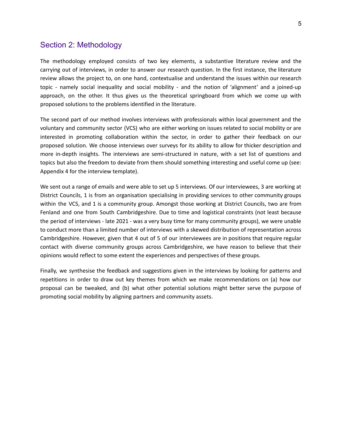## <span id="page-4-0"></span>Section 2: Methodology

The methodology employed consists of two key elements, a substantive literature review and the carrying out of interviews, in order to answer our research question. In the first instance, the literature review allows the project to, on one hand, contextualise and understand the issues within our research topic - namely social inequality and social mobility - and the notion of 'alignment' and a joined-up approach, on the other. It thus gives us the theoretical springboard from which we come up with proposed solutions to the problems identified in the literature.

The second part of our method involves interviews with professionals within local government and the voluntary and community sector (VCS) who are either working on issues related to social mobility or are interested in promoting collaboration within the sector, in order to gather their feedback on our proposed solution. We choose interviews over surveys for its ability to allow for thicker description and more in-depth insights. The interviews are semi-structured in nature, with a set list of questions and topics but also the freedom to deviate from them should something interesting and useful come up (see: Appendix 4 for the interview template).

We sent out a range of emails and were able to set up 5 interviews. Of our interviewees, 3 are working at District Councils, 1 is from an organisation specialising in providing services to other community groups within the VCS, and 1 is a community group. Amongst those working at District Councils, two are from Fenland and one from South Cambridgeshire. Due to time and logistical constraints (not least because the period of interviews - late 2021 - was a very busy time for many community groups), we were unable to conduct more than a limited number of interviews with a skewed distribution of representation across Cambridgeshire. However, given that 4 out of 5 of our interviewees are in positions that require regular contact with diverse community groups across Cambridgeshire, we have reason to believe that their opinions would reflect to some extent the experiences and perspectives of these groups.

Finally, we synthesise the feedback and suggestions given in the interviews by looking for patterns and repetitions in order to draw out key themes from which we make recommendations on (a) how our proposal can be tweaked, and (b) what other potential solutions might better serve the purpose of promoting social mobility by aligning partners and community assets.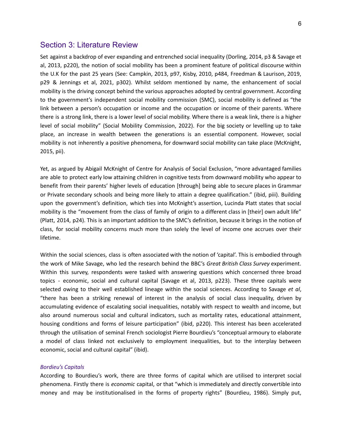## <span id="page-5-0"></span>Section 3: Literature Review

Set against a backdrop of ever expanding and entrenched social inequality (Dorling, 2014, p3 & Savage et al, 2013, p220), the notion of social mobility has been a prominent feature of political discourse within the U.K for the past 25 years (See: Campkin, 2013, p97, Kisby, 2010, p484, Freedman & Laurison, 2019, p29 & Jennings et al, 2021, p302). Whilst seldom mentioned by name, the enhancement of social mobility is the driving concept behind the various approaches adopted by central government. According to the government's independent social mobility commission (SMC), social mobility is defined as "the link between a person's occupation or income and the occupation or income of their parents. Where there is a strong link, there is a lower level of social mobility. Where there is a weak link, there is a higher level of social mobility" (Social Mobility Commission, 2022). For the big society or levelling up to take place, an increase in wealth between the generations is an essential component. However, social mobility is not inherently a positive phenomena, for downward social mobility can take place (McKnight, 2015, pii).

Yet, as argued by Abigail McKnight of Centre for Analysis of Social Exclusion, "more advantaged families are able to protect early low attaining children in cognitive tests from downward mobility who appear to benefit from their parents' higher levels of education [through] being able to secure places in Grammar or Private secondary schools and being more likely to attain a degree qualification." (ibid, piii). Building upon the government's definition, which ties into McKnight's assertion, Lucinda Platt states that social mobility is the "movement from the class of family of origin to a different class in [their] own adult life" (Platt, 2014, p24). This is an important addition to the SMC's definition, because it brings in the notion of class, for social mobility concerns much more than solely the level of income one accrues over their lifetime.

Within the social sciences, class is often associated with the notion of 'capital'. This is embodied through the work of Mike Savage, who led the research behind the BBC's *Great British Class Survey* experiment. Within this survey, respondents were tasked with answering questions which concerned three broad topics - economic, social and cultural capital (Savage et al, 2013, p223). These three capitals were selected owing to their well established lineage within the social sciences. According to Savage *et al*, "there has been a striking renewal of interest in the analysis of social class inequality, driven by accumulating evidence of escalating social inequalities, notably with respect to wealth and income, but also around numerous social and cultural indicators, such as mortality rates, educational attainment, housing conditions and forms of leisure participation" (ibid, p220). This interest has been accelerated through the utilisation of seminal French sociologist Pierre Bourdieu's "conceptual armoury to elaborate a model of class linked not exclusively to employment inequalities, but to the interplay between economic, social and cultural capital" (ibid).

#### *Bordieu's Capitals*

According to Bourdieu's work, there are three forms of capital which are utilised to interpret social phenomena. Firstly there is *economic* capital, or that "which is immediately and directly convertible into money and may be institutionalised in the forms of property rights" (Bourdieu, 1986). Simply put,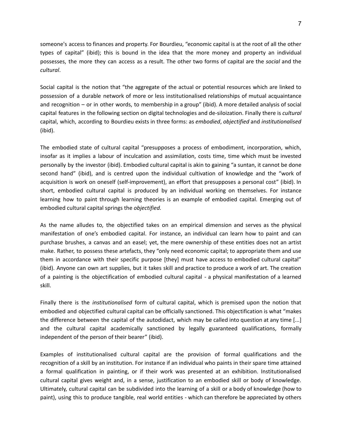someone's access to finances and property. For Bourdieu, "economic capital is at the root of all the other types of capital" (ibid); this is bound in the idea that the more money and property an individual possesses, the more they can access as a result. The other two forms of capital are the *social* and the *cultural*.

Social capital is the notion that "the aggregate of the actual or potential resources which are linked to possession of a durable network of more or less institutionalised relationships of mutual acquaintance and recognition – or in other words, to membership in a group" (ibid). A more detailed analysis of social capital features in the following section on digital technologies and de-siloization. Finally there is *cultural* capital, which, according to Bourdieu exists in three forms: as *embodied*, *objectified* and *institutionalised* (ibid).

The embodied state of cultural capital "presupposes a process of embodiment, incorporation, which, insofar as it implies a labour of inculcation and assimilation, costs time, time which must be invested personally by the investor (ibid). Embodied cultural capital is akin to gaining "a suntan, it cannot be done second hand" (ibid), and is centred upon the individual cultivation of knowledge and the "work of acquisition is work on oneself (self-improvement), an effort that presupposes a personal cost" (ibid). In short, embodied cultural capital is produced by an individual working on themselves. For instance learning how to paint through learning theories is an example of embodied capital. Emerging out of embodied cultural capital springs the *objectified.*

As the name alludes to, the objectified takes on an empirical dimension and serves as the physical manifestation of one's embodied capital. For instance, an individual can learn how to paint and can purchase brushes, a canvas and an easel; yet, the mere ownership of these entities does not an artist make. Rather, to possess these artefacts, they "only need economic capital; to appropriate them and use them in accordance with their specific purpose [they] must have access to embodied cultural capital" (ibid). Anyone can own art supplies, but it takes skill and practice to produce a work of art. The creation of a painting is the objectification of embodied cultural capital - a physical manifestation of a learned skill.

Finally there is the *institutionalised* form of cultural capital, which is premised upon the notion that embodied and objectified cultural capital can be officially sanctioned. This objectification is what "makes the difference between the capital of the autodidact, which may be called into question at any time [...] and the cultural capital academically sanctioned by legally guaranteed qualifications, formally independent of the person of their bearer" (ibid).

Examples of institutionalised cultural capital are the provision of formal qualifications and the recognition of a skill by an institution. For instance if an individual who paints in their spare time attained a formal qualification in painting, or if their work was presented at an exhibition. Institutionalised cultural capital gives weight and, in a sense, justification to an embodied skill or body of knowledge. Ultimately, cultural capital can be subdivided into the learning of a skill or a body of knowledge (how to paint), using this to produce tangible, real world entities - which can therefore be appreciated by others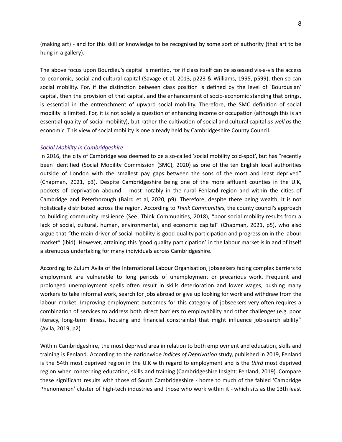(making art) - and for this skill or knowledge to be recognised by some sort of authority (that art to be hung in a gallery).

The above focus upon Bourdieu's capital is merited, for if class itself can be assessed vis-a-vis the access to economic, social and cultural capital (Savage et al, 2013, p223 & Williams, 1995, p599), then so can social mobility. For, if the distinction between class position is defined by the level of 'Bourdusian' capital, then the provision of that capital, and the enhancement of socio-economic standing that brings, is essential in the entrenchment of upward social mobility. Therefore, the SMC definition of social mobility is limited. For, it is not solely a question of enhancing income or occupation (although this is an essential quality of social mobility), but rather the cultivation of social and cultural capital *as well as* the economic. This view of social mobility is one already held by Cambridgeshire County Council.

#### *Social Mobility in Cambridgeshire*

In 2016, the city of Cambridge was deemed to be a so-called 'social mobility cold-spot', but has "recently been identified (Social Mobility Commission (SMC), 2020) as one of the ten English local authorities outside of London with the smallest pay gaps between the sons of the most and least deprived" (Chapman, 2021, p3). Despite Cambridgeshire being one of the more affluent counties in the U.K, pockets of deprivation abound - most notably in the rural Fenland region and within the cities of Cambridge and Peterborough (Baird et al, 2020, p9). Therefore, despite there being wealth, it is not holistically distributed across the region. According to *Think Communities,* the county council's approach to building community resilience (See: Think Communities, 2018), "poor social mobility results from a lack of social, cultural, human, environmental, and economic capital" (Chapman, 2021, p5), who also argue that "the main driver of social mobility is good quality participation and progression in the labour market" (ibid). However, attaining this 'good quality participation' in the labour market is in and of itself a strenuous undertaking for many individuals across Cambridgeshire.

According to Zulum Avila of the International Labour Organisation, jobseekers facing complex barriers to employment are vulnerable to long periods of unemployment or precarious work. Frequent and prolonged unemployment spells often result in skills deterioration and lower wages, pushing many workers to take informal work, search for jobs abroad or give up looking for work and withdraw from the labour market. Improving employment outcomes for this category of jobseekers very often requires a combination of services to address both direct barriers to employability and other challenges (e.g. poor literacy, long-term illness, housing and financial constraints) that might influence job-search ability" (Avila, 2019, p2)

Within Cambridgeshire, the most deprived area in relation to both employment and education, skills and training is Fenland. According to the nationwide *Indices of Deprivation* study, published in 2019, Fenland is the 54th most deprived region in the U.K with regard to employment and is the *third* most deprived region when concerning education, skills and training (Cambridgeshire Insight: Fenland, 2019). Compare these significant results with those of South Cambridgeshire - home to much of the fabled 'Cambridge Phenomenon' cluster of high-tech industries and those who work within it - which sits as the 13th least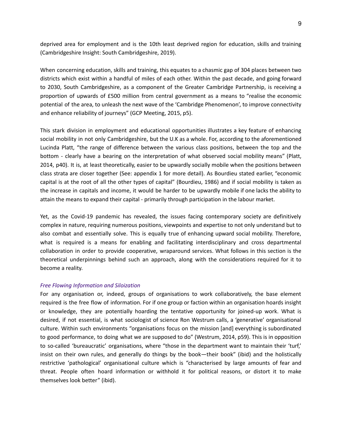deprived area for employment and is the 10th least deprived region for education, skills and training (Cambridgeshire Insight: South Cambridgeshire, 2019).

When concerning education, skills and training, this equates to a chasmic gap of 304 places between two districts which exist within a handful of miles of each other. Within the past decade, and going forward to 2030, South Cambridgeshire, as a component of the Greater Cambridge Partnership, is receiving a proportion of upwards of £500 million from central government as a means to "realise the economic potential of the area, to unleash the next wave of the 'Cambridge Phenomenon', to improve connectivity and enhance reliability of journeys" (GCP Meeting, 2015, p5).

This stark division in employment and educational opportunities illustrates a key feature of enhancing social mobility in not only Cambridgeshire, but the U.K as a whole. For, according to the aforementioned Lucinda Platt, "the range of difference between the various class positions, between the top and the bottom - clearly have a bearing on the interpretation of what observed social mobility means" (Platt, 2014, p40). It is, at least theoretically, easier to be upwardly socially mobile when the positions between class strata are closer together (See: appendix 1 for more detail). As Bourdieu stated earlier, "economic capital is at the root of all the other types of capital" (Bourdieu, 1986) and if social mobility is taken as the increase in capitals and income, it would be harder to be upwardly mobile if one lacks the ability to attain the means to expand their capital - primarily through participation in the labour market.

Yet, as the Covid-19 pandemic has revealed, the issues facing contemporary society are definitively complex in nature, requiring numerous positions, viewpoints and expertise to not only understand but to also combat and essentially solve. This is equally true of enhancing upward social mobility. Therefore, what is required is a means for enabling and facilitating interdisciplinary and cross departmental collaboration in order to provide cooperative, wraparound services. What follows in this section is the theoretical underpinnings behind such an approach, along with the considerations required for it to become a reality.

#### *Free Flowing Information and Siloization*

For any organisation or, indeed, groups of organisations to work collaboratively, the base element required is the free flow of information. For if one group or faction within an organisation hoards insight or knowledge, they are potentially hoarding the tentative opportunity for joined-up work. What is desired, if not essential, is what sociologist of science Ron Westrum calls, a 'generative' organisational culture. Within such environments "organisations focus on the mission [and] everything is subordinated to good performance, to doing what we are supposed to do" (Westrum, 2014, p59). This is in opposition to so-called 'bureaucratic' organisations, where "those in the department want to maintain their 'turf,' insist on their own rules, and generally do things by the book—their book" (ibid) and the holistically restrictive 'pathological' organisational culture which is "characterised by large amounts of fear and threat. People often hoard information or withhold it for political reasons, or distort it to make themselves look better" (ibid).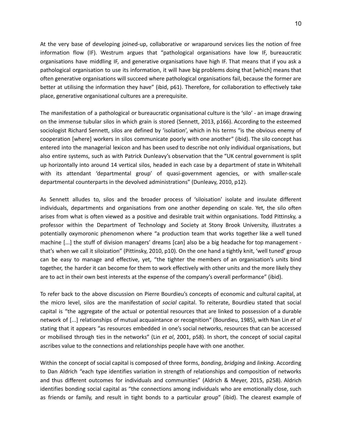At the very base of developing joined-up, collaborative or wraparound services lies the notion of free information flow (IF). Westrum argues that "pathological organisations have low IF, bureaucratic organisations have middling IF, and generative organisations have high IF. That means that if you ask a pathological organisation to use its information, it will have big problems doing that [which] means that often generative organisations will succeed where pathological organisations fail, because the former are better at utilising the information they have" (ibid, p61). Therefore, for collaboration to effectively take place, generative organisational cultures are a prerequisite.

The manifestation of a pathological or bureaucratic organisational culture is the 'silo' - an image drawing on the immense tubular silos in which grain is stored (Sennett, 2013, p166). According to the esteemed sociologist Richard Sennett, silos are defined by 'isolation', which in his terms "is the obvious enemy of cooperation [where] workers in silos communicate poorly with one another" (ibid). The silo concept has entered into the managerial lexicon and has been used to describe not only individual organisations, but also entire systems, such as with Patrick Dunleavy's observation that the "UK central government is split up horizontally into around 14 vertical silos, headed in each case by a department of state in Whitehall with its attendant 'departmental group' of quasi-government agencies, or with smaller-scale departmental counterparts in the devolved administrations" (Dunleavy, 2010, p12).

As Sennett alludes to, silos and the broader process of 'siloisation' isolate and insulate different individuals, departments and organisations from one another depending on scale. Yet, the silo often arises from what is often viewed as a positive and desirable trait within organisations. Todd Pittinsky, a professor within the Department of Technology and Society at Stony Brook University, illustrates a potentially oxymoronic phenomenon where "a production team that works together like a well tuned machine [...] the stuff of division managers' dreams [can] also be a big headache for top management that's when we call it siloization" (Pittinsky, 2010, p10). On the one hand a tightly knit, 'well tuned' group can be easy to manage and effective, yet, "the tighter the members of an organisation's units bind together, the harder it can become for them to work effectively with other units and the more likely they are to act in their own best interests at the expense of the company's overall performance" (ibid).

To refer back to the above discussion on Pierre Bourdieu's concepts of economic and cultural capital, at the micro level, silos are the manifestation of *social* capital. To reiterate, Bourdieu stated that social capital is "the aggregate of the actual or potential resources that are linked to possession of a durable network of [...] relationships of mutual acquaintance or recognition" (Bourdieu, 1985), with Nan Lin *et al* stating that it appears "as resources embedded in one's social networks, resources that can be accessed or mobilised through ties in the networks" (Lin *et al*, 2001, p58). In short, the concept of social capital ascribes value to the connections and relationships people have with one another.

Within the concept of social capital is composed of three forms, *bonding*, *bridging* and *linking*. According to Dan Aldrich "each type identifies variation in strength of relationships and composition of networks and thus different outcomes for individuals and communities" (Aldrich & Meyer, 2015, p258). Aldrich identifies bonding social capital as "the connections among individuals who are emotionally close, such as friends or family, and result in tight bonds to a particular group" (ibid). The clearest example of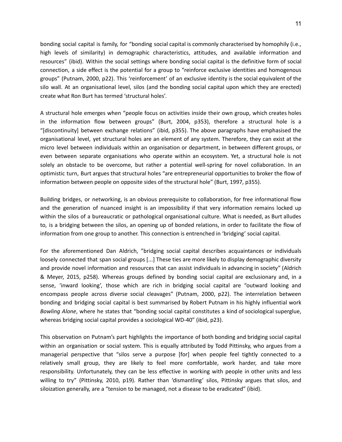bonding social capital is family, for "bonding social capital is commonly characterised by homophily (i.e., high levels of similarity) in demographic characteristics, attitudes, and available information and resources" (ibid). Within the social settings where bonding social capital is the definitive form of social connection, a side effect is the potential for a group to "reinforce exclusive identities and homogenous groups" (Putnam, 2000, p22). This 'reinforcement' of an exclusive identity is the social equivalent of the silo wall. At an organisational level, silos (and the bonding social capital upon which they are erected) create what Ron Burt has termed 'structural holes'.

A structural hole emerges when "people focus on activities inside their own group, which creates holes in the information flow between groups" (Burt, 2004, p353), therefore a structural hole is a "[discontinuity] between exchange relations" (ibid, p355). The above paragraphs have emphasised the organisational level, yet structural holes are an element of any system. Therefore, they can exist at the micro level between individuals within an organisation or department, in between different groups, or even between separate organisations who operate within an ecosystem. Yet, a structural hole is not solely an obstacle to be overcome, but rather a potential well-spring for novel collaboration. In an optimistic turn, Burt argues that structural holes "are entrepreneurial opportunities to broker the flow of information between people on opposite sides of the structural hole" (Burt, 1997, p355).

Building bridges, or networking, is an obvious prerequisite to collaboration, for free informational flow and the generation of nuanced insight is an impossibility if that very information remains locked up within the silos of a bureaucratic or pathological organisational culture. What is needed, as Burt alludes to, is a bridging between the silos, an opening up of bonded relations, in order to facilitate the flow of information from one group to another. This connection is entrenched in 'bridging' social capital.

For the aforementioned Dan Aldrich, "bridging social capital describes acquaintances or individuals loosely connected that span social groups [...] These ties are more likely to display demographic diversity and provide novel information and resources that can assist individuals in advancing in society" (Aldrich & Meyer, 2015, p258). Whereas groups defined by bonding social capital are exclusionary and, in a sense, 'inward looking', those which are rich in bridging social capital are "outward looking and encompass people across diverse social cleavages" (Putnam, 2000, p22). The interrelation between bonding and bridging social capital is best summarised by Robert Putnam in his highly influential work *Bowling Alone*, where he states that "bonding social capital constitutes a kind of sociological superglue, whereas bridging social capital provides a sociological WD-40" (ibid, p23).

This observation on Putnam's part highlights the importance of both bonding and bridging social capital within an organisation or social system. This is equally attributed by Todd Pittinsky, who argues from a managerial perspective that "silos serve a purpose [for] when people feel tightly connected to a relatively small group, they are likely to feel more comfortable, work harder, and take more responsibility. Unfortunately, they can be less effective in working with people in other units and less willing to try" (Pittinsky, 2010, p19). Rather than 'dismantling' silos, Pittinsky argues that silos, and siloization generally, are a "tension to be managed, not a disease to be eradicated" (ibid).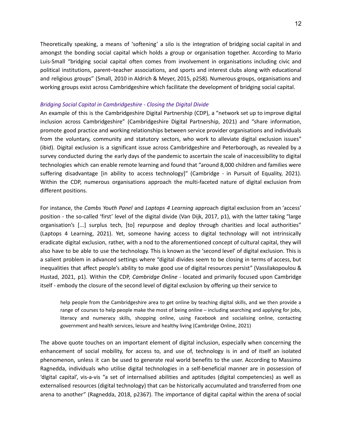Theoretically speaking, a means of 'softening' a silo is the integration of bridging social capital in and amongst the bonding social capital which holds a group or organisation together. According to Mario Luis-Small "bridging social capital often comes from involvement in organisations including civic and political institutions, parent–teacher associations, and sports and interest clubs along with educational and religious groups" (Small, 2010 in Aldrich & Meyer, 2015, p258). Numerous groups, organisations and working groups exist across Cambridgeshire which facilitate the development of bridging social capital.

#### *Bridging Social Capital in Cambridgeshire - Closing the Digital Divide*

An example of this is the Cambridgeshire Digital Partnership (CDP), a "network set up to improve digital inclusion across Cambridgeshire" (Cambridgeshire Digital Partnership, 2021) and "share information, promote good practice and working relationships between service provider organisations and individuals from the voluntary, community and statutory sectors, who work to alleviate digital exclusion issues" (ibid). Digital exclusion is a significant issue across Cambridgeshire and Peterborough, as revealed by a survey conducted during the early days of the pandemic to ascertain the scale of inaccessibility to digital technologies which can enable remote learning and found that "around 8,000 children and families were suffering disadvantage [in ability to access technology]" (Cambridge - in Pursuit of Equality, 2021). Within the CDP, numerous organisations approach the multi-faceted nature of digital exclusion from different positions.

For instance, the *Cambs Youth Panel* and *Laptops 4 Learning* approach digital exclusion from an 'access' position - the so-called 'first' level of the digital divide (Van Dijk, 2017, p1), with the latter taking "large organisation's [...] surplus tech, [to] repurpose and deploy through charities and local authorities" (Laptops 4 Learning, 2021). Yet, someone having access to digital technology will not intrinsically eradicate digital exclusion, rather, with a nod to the aforementioned concept of cultural capital, they will also have to be able to use the technology. This is known as the 'second level' of digital exclusion. This is a salient problem in advanced settings where "digital divides seem to be closing in terms of access, but inequalities that affect people's ability to make good use of digital resources persist" (Vassilakopoulou & Hustad, 2021, p1). Within the CDP, *Cambridge Online* - located and primarily focused upon Cambridge itself - embody the closure of the second level of digital exclusion by offering up their service to

help people from the Cambridgeshire area to get online by teaching digital skills, and we then provide a range of courses to help people make the most of being online – including searching and applying for jobs, literacy and numeracy skills, shopping online, using Facebook and socialising online, contacting government and health services, leisure and healthy living (Cambridge Online, 2021)

The above quote touches on an important element of digital inclusion, especially when concerning the enhancement of social mobility, for access to, and use of, technology is in and of itself an isolated phenomenon, unless it can be used to generate real world benefits to the user. According to Massimo Ragnedda, individuals who utilise digital technologies in a self-beneficial manner are in possession of 'digital capital', vis-a-vis "a set of internalised abilities and aptitudes (digital competencies) as well as externalised resources (digital technology) that can be historically accumulated and transferred from one arena to another" (Ragnedda, 2018, p2367). The importance of digital capital within the arena of social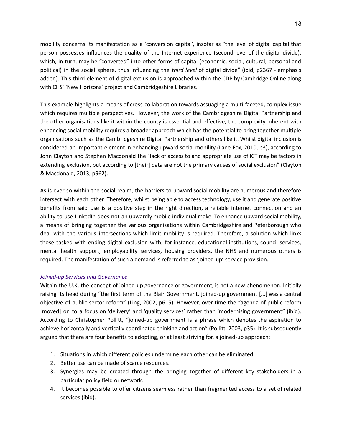mobility concerns its manifestation as a 'conversion capital', insofar as "the level of digital capital that person possesses influences the quality of the Internet experience (second level of the digital divide), which, in turn, may be "converted" into other forms of capital (economic, social, cultural, personal and political) in the social sphere, thus influencing the *third level* of digital divide" (ibid, p2367 - emphasis added). This third element of digital exclusion is approached within the CDP by Cambridge Online along with CHS' 'New Horizons' project and Cambridgeshire Libraries.

This example highlights a means of cross-collaboration towards assuaging a multi-faceted, complex issue which requires multiple perspectives. However, the work of the Cambridgeshire Digital Partnership and the other organisations like it within the county is essential and effective, the complexity inherent with enhancing social mobility requires a broader approach which has the potential to bring together multiple organisations such as the Cambridgeshire Digital Partnership and others like it. Whilst digital inclusion is considered an important element in enhancing upward social mobility (Lane-Fox, 2010, p3), according to John Clayton and Stephen Macdonald the "lack of access to and appropriate use of ICT may be factors in extending exclusion, but according to [their] data are not the primary causes of social exclusion" (Clayton & Macdonald, 2013, p962).

As is ever so within the social realm, the barriers to upward social mobility are numerous and therefore intersect with each other. Therefore, whilst being able to access technology, use it and generate positive benefits from said use is a positive step in the right direction, a reliable internet connection and an ability to use LinkedIn does not an upwardly mobile individual make. To enhance upward social mobility, a means of bringing together the various organisations within Cambridgeshire and Peterborough who deal with the various intersections which limit mobility is required. Therefore, a solution which links those tasked with ending digital exclusion with, for instance, educational institutions, council services, mental health support, employability services, housing providers, the NHS and numerous others is required. The manifestation of such a demand is referred to as 'joined-up' service provision.

#### *Joined-up Services and Governance*

Within the U.K, the concept of joined-up governance or government, is not a new phenomenon. Initially raising its head during "the first term of the Blair Government, joined-up government [...] was a central objective of public sector reform" (Ling, 2002, p615). However, over time the "agenda of public reform [moved] on to a focus on 'delivery' and 'quality services' rather than 'modernising government" (ibid). According to Christopher Pollitt, "joined-up government is a phrase which denotes the aspiration to achieve horizontally and vertically coordinated thinking and action" (Pollitt, 2003, p35). It is subsequently argued that there are four benefits to adopting, or at least striving for, a joined-up approach:

- 1. Situations in which different policies undermine each other can be eliminated.
- 2. Better use can be made of scarce resources.
- 3. Synergies may be created through the bringing together of different key stakeholders in a particular policy field or network.
- 4. It becomes possible to offer citizens seamless rather than fragmented access to a set of related services (ibid).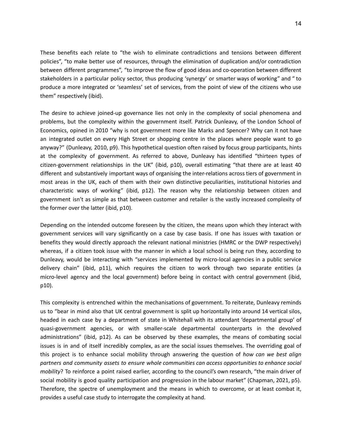These benefits each relate to "the wish to eliminate contradictions and tensions between different policies", "to make better use of resources, through the elimination of duplication and/or contradiction between different programmes", "to improve the flow of good ideas and co-operation between different stakeholders in a particular policy sector, thus producing 'synergy' or smarter ways of working" and " to produce a more integrated or 'seamless' set of services, from the point of view of the citizens who use them" respectively (ibid).

The desire to achieve joined-up governance lies not only in the complexity of social phenomena and problems, but the complexity within the government itself. Patrick Dunleavy, of the London School of Economics, opined in 2010 "why is not government more like Marks and Spencer? Why can it not have an integrated outlet on every High Street or shopping centre in the places where people want to go anyway?" (Dunleavy, 2010, p9). This hypothetical question often raised by focus group participants, hints at the complexity of government. As referred to above, Dunleavy has identified "thirteen types of citizen-government relationships in the UK" (ibid, p10), overall estimating "that there are at least 40 different and substantively important ways of organising the inter-relations across tiers of government in most areas in the UK, each of them with their own distinctive peculiarities, institutional histories and characteristic ways of working" (ibid, p12). The reason why the relationship between citizen and government isn't as simple as that between customer and retailer is the vastly increased complexity of the former over the latter (ibid, p10).

Depending on the intended outcome foreseen by the citizen, the means upon which they interact with government services will vary significantly on a case by case basis. If one has issues with taxation or benefits they would directly approach the relevant national ministries (HMRC or the DWP respectively) whereas, if a citizen took issue with the manner in which a local school is being run they, according to Dunleavy, would be interacting with "services implemented by micro-local agencies in a public service delivery chain" (ibid, p11), which requires the citizen to work through two separate entities (a micro-level agency and the local government) before being in contact with central government (ibid, p10).

This complexity is entrenched within the mechanisations of government. To reiterate, Dunleavy reminds us to "bear in mind also that UK central government is split up horizontally into around 14 vertical silos, headed in each case by a department of state in Whitehall with its attendant 'departmental group' of quasi-government agencies, or with smaller-scale departmental counterparts in the devolved administrations" (ibid, p12). As can be observed by these examples, the means of combating social issues is in and of itself incredibly complex, as are the social issues themselves. The overriding goal of this project is to enhance social mobility through answering the question of *how can we best align partners and community assets to ensure whole communities can access opportunities to enhance social mobility*? To reinforce a point raised earlier, according to the council's own research, "the main driver of social mobility is good quality participation and progression in the labour market" (Chapman, 2021, p5). Therefore, the spectre of unemployment and the means in which to overcome, or at least combat it, provides a useful case study to interrogate the complexity at hand.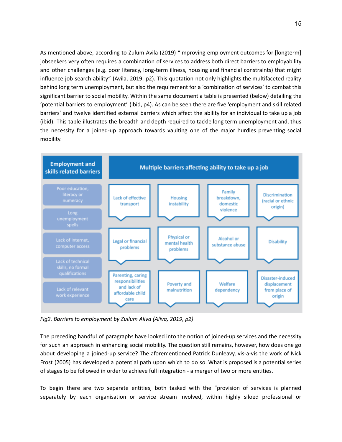As mentioned above, according to Zulum Avila (2019) "improving employment outcomes for [longterm] jobseekers very often requires a combination of services to address both direct barriers to employability and other challenges (e.g. poor literacy, long-term illness, housing and financial constraints) that might influence job-search ability" (Avila, 2019, p2). This quotation not only highlights the multifaceted reality behind long term unemployment, but also the requirement for a 'combination of services' to combat this significant barrier to social mobility. Within the same document a table is presented (below) detailing the 'potential barriers to employment' (ibid, p4). As can be seen there are five 'employment and skill related barriers' and twelve identified external barriers which affect the ability for an individual to take up a job (ibid). This table illustrates the breadth and depth required to tackle long term unemployment and, thus the necessity for a joined-up approach towards vaulting one of the major hurdles preventing social mobility.



*Fig2. Barriers to employment by Zullum Aliva (Aliva, 2019, p2)*

The preceding handful of paragraphs have looked into the notion of joined-up services and the necessity for such an approach in enhancing social mobility. The question still remains, however, how does one go about developing a joined-up service? The aforementioned Patrick Dunleavy, vis-a-vis the work of Nick Frost (2005) has developed a potential path upon which to do so. What is proposed is a potential series of stages to be followed in order to achieve full integration - a merger of two or more entities.

To begin there are two separate entities, both tasked with the "provision of services is planned separately by each organisation or service stream involved, within highly siloed professional or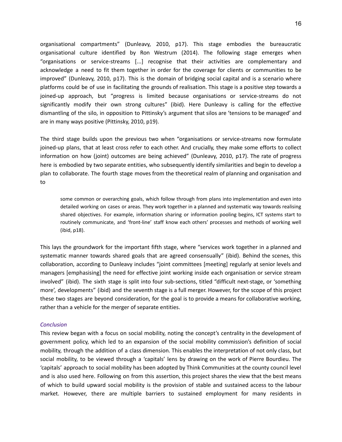organisational compartments" (Dunleavy, 2010, p17). This stage embodies the bureaucratic organisational culture identified by Ron Westrum (2014). The following stage emerges when "organisations or service-streams [...] recognise that their activities are complementary and acknowledge a need to fit them together in order for the coverage for clients or communities to be improved" (Dunleavy, 2010, p17). This is the domain of bridging social capital and is a scenario where platforms could be of use in facilitating the grounds of realisation. This stage is a positive step towards a joined-up approach, but "progress is limited because organisations or service-streams do not significantly modify their own strong cultures" (ibid). Here Dunleavy is calling for the effective dismantling of the silo, in opposition to Pittinsky's argument that silos are 'tensions to be managed' and are in many ways positive (Pittinsky, 2010, p19).

The third stage builds upon the previous two when "organisations or service-streams now formulate joined-up plans, that at least cross refer to each other. And crucially, they make some efforts to collect information on how (joint) outcomes are being achieved" (Dunleavy, 2010, p17). The rate of progress here is embodied by two separate entities, who subsequently identify similarities and begin to develop a plan to collaborate. The fourth stage moves from the theoretical realm of planning and organisation and to

some common or overarching goals, which follow through from plans into implementation and even into detailed working on cases or areas. They work together in a planned and systematic way towards realising shared objectives. For example, information sharing or information pooling begins, ICT systems start to routinely communicate, and 'front-line' staff know each others' processes and methods of working well (ibid, p18).

This lays the groundwork for the important fifth stage, where "services work together in a planned and systematic manner towards shared goals that are agreed consensually" (ibid). Behind the scenes, this collaboration, according to Dunleavy includes "joint committees [meeting] regularly at senior levels and managers [emphasising] the need for effective joint working inside each organisation or service stream involved" (ibid). The sixth stage is split into four sub-sections, titled "difficult next-stage, or 'something more', developments" (ibid) and the seventh stage is a full merger. However, for the scope of this project these two stages are beyond consideration, for the goal is to provide a means for collaborative working, rather than a vehicle for the merger of separate entities.

#### *Conclusion*

This review began with a focus on social mobility, noting the concept's centrality in the development of government policy, which led to an expansion of the social mobility commission's definition of social mobility, through the addition of a class dimension. This enables the interpretation of not only class, but social mobility, to be viewed through a 'capitals' lens by drawing on the work of Pierre Bourdieu. The 'capitals' approach to social mobility has been adopted by Think Communities at the county council level and is also used here. Following on from this assertion, this project shares the view that the best means of which to build upward social mobility is the provision of stable and sustained access to the labour market. However, there are multiple barriers to sustained employment for many residents in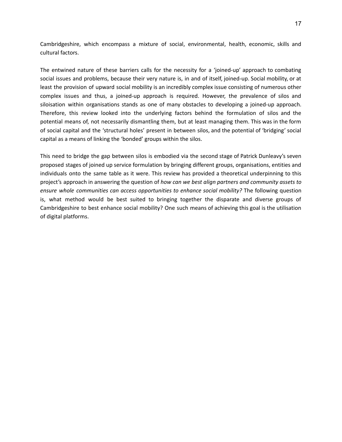Cambridgeshire, which encompass a mixture of social, environmental, health, economic, skills and cultural factors.

The entwined nature of these barriers calls for the necessity for a 'joined-up' approach to combating social issues and problems, because their very nature is, in and of itself, joined-up. Social mobility, or at least the provision of upward social mobility is an incredibly complex issue consisting of numerous other complex issues and thus, a joined-up approach is required. However, the prevalence of silos and siloisation within organisations stands as one of many obstacles to developing a joined-up approach. Therefore, this review looked into the underlying factors behind the formulation of silos and the potential means of, not necessarily dismantling them, but at least managing them. This was in the form of social capital and the 'structural holes' present in between silos, and the potential of 'bridging' social capital as a means of linking the 'bonded' groups within the silos.

This need to bridge the gap between silos is embodied via the second stage of Patrick Dunleavy's seven proposed stages of joined up service formulation by bringing different groups, organisations, entities and individuals onto the same table as it were. This review has provided a theoretical underpinning to this project's approach in answering the question of *how can we best align partners and community assets to ensure whole communities can access opportunities to enhance social mobility?* The following question is, what method would be best suited to bringing together the disparate and diverse groups of Cambridgeshire to best enhance social mobility? One such means of achieving this goal is the utilisation of digital platforms.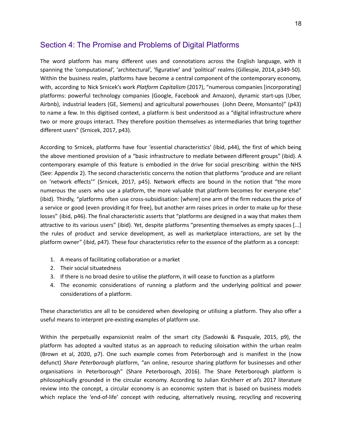## <span id="page-17-0"></span>Section 4: The Promise and Problems of Digital Platforms

The word platform has many different uses and connotations across the English language, with it spanning the 'computational', 'architectural', 'figurative' and 'political' realms (Gillespie, 2014, p349-50). Within the business realm, platforms have become a central component of the contemporary economy, with, according to Nick Srnicek's work *Platform Capitalism* (2017), "numerous companies [incorporating] platforms: powerful technology companies (Google, Facebook and Amazon), dynamic start-ups (Uber, Airbnb), industrial leaders (GE, Siemens) and agricultural powerhouses (John Deere, Monsanto)" (p43) to name a few. In this digitised context, a platform is best understood as a "digital infrastructure where two or more groups interact. They therefore position themselves as intermediaries that bring together different users" (Srnicek, 2017, p43).

According to Srnicek, platforms have four 'essential characteristics' (ibid, p44), the first of which being the above mentioned provision of a "basic infrastructure to mediate between different groups" (ibid). A contemporary example of this feature is embodied in the drive for social prescribing within the NHS (See: Appendix 2). The second characteristic concerns the notion that platforms "produce and are reliant on 'network effects'" (Srnicek, 2017, p45). Network effects are bound in the notion that "the more numerous the users who use a platform, the more valuable that platform becomes for everyone else" (ibid). Thirdly, "platforms often use cross-subsidisation: [where] one arm of the firm reduces the price of a service or good (even providing it for free), but another arm raises prices in order to make up for these losses" (ibid, p46). The final characteristic asserts that "platforms are designed in a way that makes them attractive to its various users" (ibid). Yet, despite platforms "presenting themselves as empty spaces [...] the rules of product and service development, as well as marketplace interactions, are set by the platform owner" (ibid, p47). These four characteristics refer to the essence of the platform as a concept:

- 1. A means of facilitating collaboration or a market
- 2. Their social situatedness
- 3. If there is no broad desire to utilise the platform, it will cease to function as a platform
- 4. The economic considerations of running a platform and the underlying political and power considerations of a platform.

These characteristics are all to be considered when developing or utilising a platform. They also offer a useful means to interpret pre-existing examples of platform use.

Within the perpetually expansionist realm of the smart city (Sadowski & Pasquale, 2015, p9), the platform has adopted a vaulted status as an approach to reducing siloisation within the urban realm (Brown et al, 2020, p7). One such example comes from Peterborough and is manifest in the (now defunct) *Share Peterborough* platform, "an online, resource sharing platform for businesses and other organisations in Peterborough" (Share Peterborough, 2016). The Share Peterborough platform is philosophically grounded in the circular economy. According to Julian Kirchherr *et al*'s 2017 literature review into the concept, a circular economy is an economic system that is based on business models which replace the 'end-of-life' concept with reducing, alternatively reusing, recycling and recovering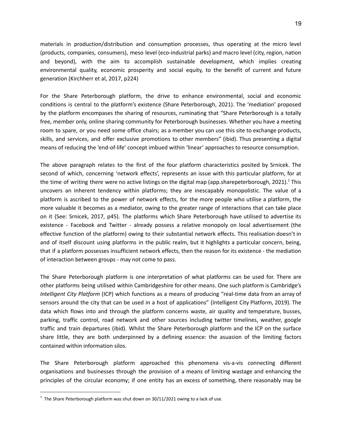materials in production/distribution and consumption processes, thus operating at the micro level (products, companies, consumers), meso level (eco-industrial parks) and macro level (city, region, nation and beyond), with the aim to accomplish sustainable development, which implies creating environmental quality, economic prosperity and social equity, to the benefit of current and future generation (Kirchherr et al, 2017, p224)

For the Share Peterborough platform, the drive to enhance environmental, social and economic conditions is central to the platform's existence (Share Peterborough, 2021). The 'mediation' proposed by the platform encompases the sharing of resources, ruminating that "Share Peterborough is a totally free, member only, online sharing community for Peterborough businesses. Whether you have a meeting room to spare, or you need some office chairs; as a member you can use this site to exchange products, skills, and services, and offer exclusive promotions to other members" (ibid). Thus presenting a digital means of reducing the 'end-of-life' concept imbued within 'linear' approaches to resource consumption.

The above paragraph relates to the first of the four platform characteristics posited by Srnicek. The second of which, concerning 'network effects', represents an issue with this particular platform, for at the time of writing there were no active listings on the digital map (app.sharepeterborough, 2021).<sup>1</sup> This uncovers an inherent tendency within platforms; they are inescapably monopolistic. The value of a platform is ascribed to the power of network effects, for the more people who utilise a platform, the more valuable it becomes as a mediator, owing to the greater range of interactions that can take place on it (See: Srnicek, 2017, p45). The platforms which Share Peterborough have utilised to advertise its existence - Facebook and Twitter - already possess a relative monopoly on local advertisement (the effective function of the platform) owing to their substantial network effects. This realisation doesn't in and of itself discount using platforms in the public realm, but it highlights a particular concern, being, that if a platform possesses insufficient network effects, then the reason for its existence - the mediation of interaction between groups - may not come to pass.

The Share Peterborough platform is one interpretation of what platforms can be used for. There are other platforms being utilised within Cambridgeshire for other means. One such platform is Cambridge's *Intelligent City Platform* (ICP) which functions as a means of producing "real-time data from an array of sensors around the city that can be used in a host of applications" (Intelligent City Platform, 2019). The data which flows into and through the platform concerns waste, air quality and temperature, busses, parking, traffic control, road network and other sources including twitter timelines, weather, google traffic and train departures (ibid). Whilst the Share Peterborough platform and the ICP on the surface share little, they are both underpinned by a defining essence: the asuasion of the limiting factors contained within information silos.

The Share Peterborough platform approached this phenomena vis-a-vis connecting different organisations and businesses through the provision of a means of limiting wastage and enhancing the principles of the circular economy; if one entity has an excess of something, there reasonably may be

 $1$  The Share Peterborough platform was shut down on 30/11/2021 owing to a lack of use.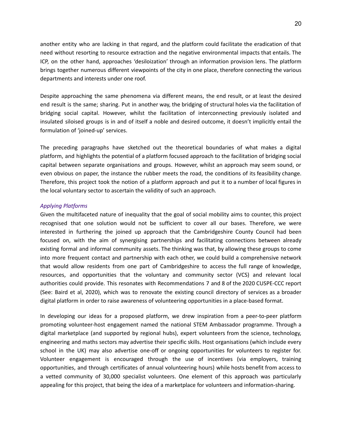another entity who are lacking in that regard, and the platform could facilitate the eradication of that need without resorting to resource extraction and the negative environmental impacts that entails. The ICP, on the other hand, approaches 'desiloization' through an information provision lens. The platform brings together numerous different viewpoints of the city in one place, therefore connecting the various departments and interests under one roof.

Despite approaching the same phenomena via different means, the end result, or at least the desired end result is the same; sharing. Put in another way, the bridging of structural holes via the facilitation of bridging social capital. However, whilst the facilitation of interconnecting previously isolated and insulated siloised groups is in and of itself a noble and desired outcome, it doesn't implicitly entail the formulation of 'joined-up' services.

The preceding paragraphs have sketched out the theoretical boundaries of what makes a digital platform, and highlights the potential of a platform focused approach to the facilitation of bridging social capital between separate organisations and groups. However, whilst an approach may seem sound, or even obvious on paper, the instance the rubber meets the road, the conditions of its feasibility change. Therefore, this project took the notion of a platform approach and put it to a number of local figures in the local voluntary sector to ascertain the validity of such an approach.

#### *Applying Platforms*

Given the multifaceted nature of inequality that the goal of social mobility aims to counter, this project recognised that one solution would not be sufficient to cover all our bases. Therefore, we were interested in furthering the joined up approach that the Cambridgeshire County Council had been focused on, with the aim of synergising partnerships and facilitating connections between already existing formal and informal community assets. The thinking was that, by allowing these groups to come into more frequent contact and partnership with each other, we could build a comprehensive network that would allow residents from one part of Cambridgeshire to access the full range of knowledge, resources, and opportunities that the voluntary and community sector (VCS) and relevant local authorities could provide. This resonates with Recommendations 7 and 8 of the 2020 CUSPE-CCC report (See: Baird et al, 2020), which was to renovate the existing council directory of services as a broader digital platform in order to raise awareness of volunteering opportunities in a place-based format.

In developing our ideas for a proposed platform, we drew inspiration from a peer-to-peer platform promoting volunteer-host engagement named the national STEM Ambassador programme. Through a digital marketplace (and supported by regional hubs), expert volunteers from the science, technology, engineering and maths sectors may advertise their specific skills. Host organisations (which include every school in the UK) may also advertise one-off or ongoing opportunities for volunteers to register for. Volunteer engagement is encouraged through the use of incentives (via employers, training opportunities, and through certificates of annual volunteering hours) while hosts benefit from access to a vetted community of 30,000 specialist volunteers. One element of this approach was particularly appealing for this project, that being the idea of a marketplace for volunteers and information-sharing.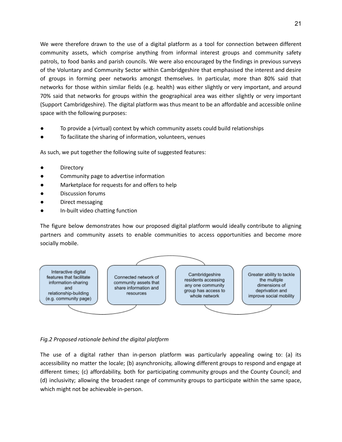We were therefore drawn to the use of a digital platform as a tool for connection between different community assets, which comprise anything from informal interest groups and community safety patrols, to food banks and parish councils. We were also encouraged by the findings in previous surveys of the Voluntary and Community Sector within Cambridgeshire that emphasised the interest and desire of groups in forming peer networks amongst themselves. In particular, more than 80% said that networks for those within similar fields (e.g. health) was either slightly or very important, and around 70% said that networks for groups within the geographical area was either slightly or very important (Support Cambridgeshire). The digital platform was thus meant to be an affordable and accessible online space with the following purposes:

- To provide a (virtual) context by which community assets could build relationships
- To facilitate the sharing of information, volunteers, venues

As such, we put together the following suite of suggested features:

- Directory
- Community page to advertise information
- Marketplace for requests for and offers to help
- Discussion forums
- Direct messaging
- In-built video chatting function

The figure below demonstrates how our proposed digital platform would ideally contribute to aligning partners and community assets to enable communities to access opportunities and become more socially mobile.



## *Fig.2 Proposed rationale behind the digital platform*

The use of a digital rather than in-person platform was particularly appealing owing to: (a) its accessibility no matter the locale; (b) asynchronicity, allowing different groups to respond and engage at different times; (c) affordability, both for participating community groups and the County Council; and (d) inclusivity; allowing the broadest range of community groups to participate within the same space, which might not be achievable in-person.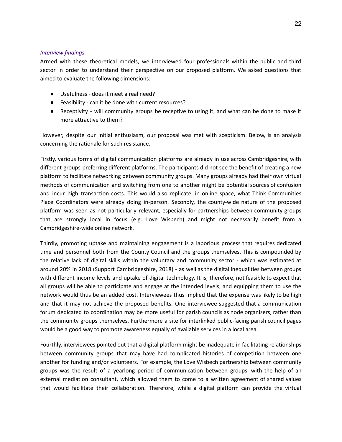#### *Interview findings*

Armed with these theoretical models, we interviewed four professionals within the public and third sector in order to understand their perspective on our proposed platform. We asked questions that aimed to evaluate the following dimensions:

- Usefulness does it meet a real need?
- Feasibility can it be done with current resources?
- Receptivity will community groups be receptive to using it, and what can be done to make it more attractive to them?

However, despite our initial enthusiasm, our proposal was met with scepticism. Below, is an analysis concerning the rationale for such resistance.

Firstly, various forms of digital communication platforms are already in use across Cambridgeshire, with different groups preferring different platforms. The participants did not see the benefit of creating a new platform to facilitate networking between community groups. Many groups already had their own virtual methods of communication and switching from one to another might be potential sources of confusion and incur high transaction costs. This would also replicate, in online space, what Think Communities Place Coordinators were already doing in-person. Secondly, the county-wide nature of the proposed platform was seen as not particularly relevant, especially for partnerships between community groups that are strongly local in focus (e.g. Love Wisbech) and might not necessarily benefit from a Cambridgeshire-wide online network.

Thirdly, promoting uptake and maintaining engagement is a laborious process that requires dedicated time and personnel both from the County Council and the groups themselves. This is compounded by the relative lack of digital skills within the voluntary and community sector - which was estimated at around 20% in 2018 (Support Cambridgeshire, 2018) - as well as the digital inequalities between groups with different income levels and uptake of digital technology. It is, therefore, not feasible to expect that all groups will be able to participate and engage at the intended levels, and equipping them to use the network would thus be an added cost. Interviewees thus implied that the expense was likely to be high and that it may not achieve the proposed benefits. One interviewee suggested that a communication forum dedicated to coordination may be more useful for parish councils as node organisers, rather than the community groups themselves. Furthermore a site for interlinked public-facing parish council pages would be a good way to promote awareness equally of available services in a local area.

Fourthly, interviewees pointed out that a digital platform might be inadequate in facilitating relationships between community groups that may have had complicated histories of competition between one another for funding and/or volunteers. For example, the Love Wisbech partnership between community groups was the result of a yearlong period of communication between groups, with the help of an external mediation consultant, which allowed them to come to a written agreement of shared values that would facilitate their collaboration. Therefore, while a digital platform can provide the virtual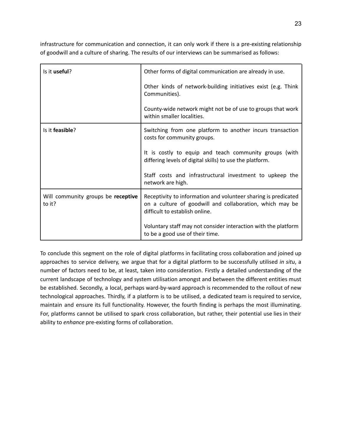infrastructure for communication and connection, it can only work if there is a pre-existing relationship of goodwill and a culture of sharing. The results of our interviews can be summarised as follows:

| Is it useful?                                | Other forms of digital communication are already in use.                                                                                                     |  |
|----------------------------------------------|--------------------------------------------------------------------------------------------------------------------------------------------------------------|--|
|                                              | Other kinds of network-building initiatives exist (e.g. Think<br>Communities).                                                                               |  |
|                                              | County-wide network might not be of use to groups that work<br>within smaller localities.                                                                    |  |
| Is it feasible?                              | Switching from one platform to another incurs transaction<br>costs for community groups.                                                                     |  |
|                                              | It is costly to equip and teach community groups (with<br>differing levels of digital skills) to use the platform.                                           |  |
|                                              | Staff costs and infrastructural investment to upkeep the<br>network are high.                                                                                |  |
| Will community groups be receptive<br>to it? | Receptivity to information and volunteer sharing is predicated<br>on a culture of goodwill and collaboration, which may be<br>difficult to establish online. |  |
|                                              | Voluntary staff may not consider interaction with the platform<br>to be a good use of their time.                                                            |  |

To conclude this segment on the role of digital platforms in facilitating cross collaboration and joined up approaches to service delivery, we argue that for a digital platform to be successfully utilised *in situ*, a number of factors need to be, at least, taken into consideration. Firstly a detailed understanding of the current landscape of technology and system utilisation amongst and between the different entities must be established. Secondly, a local, perhaps ward-by-ward approach is recommended to the rollout of new technological approaches. Thirdly, if a platform is to be utilised, a dedicated team is required to service, maintain and ensure its full functionality. However, the fourth finding is perhaps the most illuminating. For, platforms cannot be utilised to spark cross collaboration, but rather, their potential use lies in their ability to *enhance* pre-existing forms of collaboration.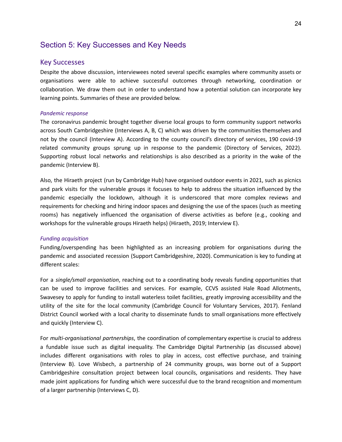## <span id="page-23-0"></span>Section 5: Key Successes and Key Needs

#### Key Successes

Despite the above discussion, interviewees noted several specific examples where community assets or organisations were able to achieve successful outcomes through networking, coordination or collaboration. We draw them out in order to understand how a potential solution can incorporate key learning points. Summaries of these are provided below.

#### *Pandemic response*

The coronavirus pandemic brought together diverse local groups to form community support networks across South Cambridgeshire (Interviews A, B, C) which was driven by the communities themselves and not by the council (Interview A). According to the county council's directory of services, 190 covid-19 related community groups sprung up in response to the pandemic (Directory of Services, 2022). Supporting robust local networks and relationships is also described as a priority in the wake of the pandemic (Interview B).

Also, the Hiraeth project (run by Cambridge Hub) have organised outdoor events in 2021, such as picnics and park visits for the vulnerable groups it focuses to help to address the situation influenced by the pandemic especially the lockdown, although it is underscored that more complex reviews and requirements for checking and hiring indoor spaces and designing the use of the spaces (such as meeting rooms) has negatively influenced the organisation of diverse activities as before (e.g., cooking and workshops for the vulnerable groups Hiraeth helps) (Hiraeth, 2019; Interview E).

#### *Funding acquisition*

Funding/overspending has been highlighted as an increasing problem for organisations during the pandemic and associated recession (Support Cambridgeshire, 2020). Communication is key to funding at different scales:

For a *single/small organisation*, reaching out to a coordinating body reveals funding opportunities that can be used to improve facilities and services. For example, CCVS assisted Hale Road Allotments, Swavesey to apply for funding to install waterless toilet facilities, greatly improving accessibility and the utility of the site for the local community (Cambridge Council for Voluntary Services, 2017). Fenland District Council worked with a local charity to disseminate funds to small organisations more effectively and quickly (Interview C).

For *multi-organisational partnerships*, the coordination of complementary expertise is crucial to address a fundable issue such as digital inequality. The Cambridge Digital Partnership (as discussed above) includes different organisations with roles to play in access, cost effective purchase, and training (Interview B). Love Wisbech, a partnership of 24 community groups, was borne out of a Support Cambridgeshire consultation project between local councils, organisations and residents. They have made joint applications for funding which were successful due to the brand recognition and momentum of a larger partnership (Interviews C, D).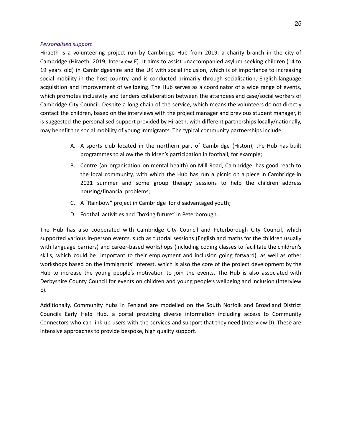#### *Personalised support*

Hiraeth is a volunteering project run by Cambridge Hub from 2019, a charity branch in the city of Cambridge (Hiraeth, 2019; Interview E). It aims to assist unaccompanied asylum seeking children (14 to 19 years old) in Cambridgeshire and the UK with social inclusion, which is of importance to increasing social mobility in the host country, and is conducted primarily through socialisation, English language acquisition and improvement of wellbeing. The Hub serves as a coordinator of a wide range of events, which promotes inclusivity and tenders collaboration between the attendees and case/social workers of Cambridge City Council. Despite a long chain of the service, which means the volunteers do not directly contact the children, based on the interviews with the project manager and previous student manager, it is suggested the personalised support provided by Hiraeth, with different partnerships locally/nationally, may benefit the social mobility of young immigrants. The typical community partnerships include:

- A. A sports club located in the northern part of Cambridge (Histon), the Hub has built programmes to allow the children's participation in football, for example;
- B. Centre (an organisation on mental health) on Mill Road, Cambridge, has good reach to the local community, with which the Hub has run a picnic on a piece in Cambridge in 2021 summer and some group therapy sessions to help the children address housing/financial problems;
- C. A "Rainbow" project in Cambridge for disadvantaged youth;
- D. Football activities and "boxing future" in Peterborough.

The Hub has also cooperated with Cambridge City Council and Peterborough City Council, which supported various in-person events, such as tutorial sessions (English and maths for the children usually with language barriers) and career-based workshops (including coding classes to facilitate the children's skills, which could be important to their employment and inclusion going forward), as well as other workshops based on the immigrants' interest, which is also the core of the project development by the Hub to increase the young people's motivation to join the events. The Hub is also associated with Derbyshire County Council for events on children and young people's wellbeing and inclusion (Interview E).

Additionally, Community hubs in Fenland are modelled on the South Norfolk and Broadland District Councils Early Help Hub, a portal providing diverse information including access to Community Connectors who can link up users with the services and support that they need (Interview D). These are intensive approaches to provide bespoke, high quality support.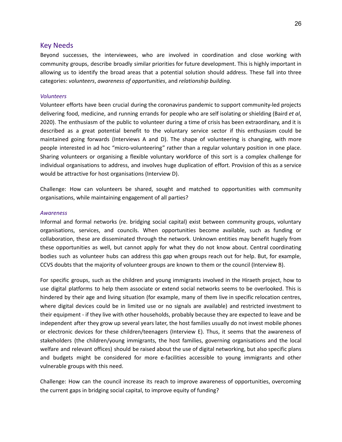#### Key Needs

Beyond successes, the interviewees, who are involved in coordination and close working with community groups, describe broadly similar priorities for future development. This is highly important in allowing us to identify the broad areas that a potential solution should address. These fall into three categories: *volunteers*, *awareness of opportunities*, and *relationship building*.

#### *Volunteers*

Volunteer efforts have been crucial during the coronavirus pandemic to support community-led projects delivering food, medicine, and running errands for people who are self isolating or shielding (Baird *et al*, 2020). The enthusiasm of the public to volunteer during a time of crisis has been extraordinary, and it is described as a great potential benefit to the voluntary service sector if this enthusiasm could be maintained going forwards (Interviews A and D). The shape of volunteering is changing, with more people interested in ad hoc "micro-volunteering" rather than a regular voluntary position in one place. Sharing volunteers or organising a flexible voluntary workforce of this sort is a complex challenge for individual organisations to address, and involves huge duplication of effort. Provision of this as a service would be attractive for host organisations (Interview D).

Challenge: How can volunteers be shared, sought and matched to opportunities with community organisations, while maintaining engagement of all parties?

#### *Awareness*

Informal and formal networks (re. bridging social capital) exist between community groups, voluntary organisations, services, and councils. When opportunities become available, such as funding or collaboration, these are disseminated through the network. Unknown entities may benefit hugely from these opportunities as well, but cannot apply for what they do not know about. Central coordinating bodies such as volunteer hubs can address this gap when groups reach out for help. But, for example, CCVS doubts that the majority of volunteer groups are known to them or the council (Interview B).

For specific groups, such as the children and young immigrants involved in the Hiraeth project, how to use digital platforms to help them associate or extend social networks seems to be overlooked. This is hindered by their age and living situation (for example, many of them live in specific relocation centres, where digital devices could be in limited use or no signals are available) and restricted investment to their equipment - if they live with other households, probably because they are expected to leave and be independent after they grow up several years later, the host families usually do not invest mobile phones or electronic devices for these children/teenagers (Interview E). Thus, it seems that the awareness of stakeholders (the children/young immigrants, the host families, governing organisations and the local welfare and relevant offices) should be raised about the use of digital networking, but also specific plans and budgets might be considered for more e-facilities accessible to young immigrants and other vulnerable groups with this need.

Challenge: How can the council increase its reach to improve awareness of opportunities, overcoming the current gaps in bridging social capital, to improve equity of funding?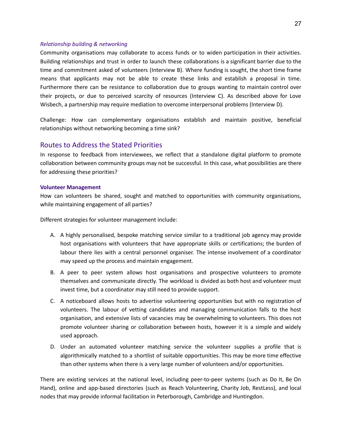#### *Relationship building & networking*

Community organisations may collaborate to access funds or to widen participation in their activities. Building relationships and trust in order to launch these collaborations is a significant barrier due to the time and commitment asked of volunteers (Interview B). Where funding is sought, the short time frame means that applicants may not be able to create these links and establish a proposal in time. Furthermore there can be resistance to collaboration due to groups wanting to maintain control over their projects, or due to perceived scarcity of resources (Interview C). As described above for Love Wisbech, a partnership may require mediation to overcome interpersonal problems (Interview D).

Challenge: How can complementary organisations establish and maintain positive, beneficial relationships without networking becoming a time sink?

## Routes to Address the Stated Priorities

In response to feedback from interviewees, we reflect that a standalone digital platform to promote collaboration between community groups may not be successful. In this case, what possibilities are there for addressing these priorities?

#### **Volunteer Management**

How can volunteers be shared, sought and matched to opportunities with community organisations, while maintaining engagement of all parties?

Different strategies for volunteer management include:

- A. A highly personalised, bespoke matching service similar to a traditional job agency may provide host organisations with volunteers that have appropriate skills or certifications; the burden of labour there lies with a central personnel organiser. The intense involvement of a coordinator may speed up the process and maintain engagement.
- B. A peer to peer system allows host organisations and prospective volunteers to promote themselves and communicate directly. The workload is divided as both host and volunteer must invest time, but a coordinator may still need to provide support.
- C. A noticeboard allows hosts to advertise volunteering opportunities but with no registration of volunteers. The labour of vetting candidates and managing communication falls to the host organisation, and extensive lists of vacancies may be overwhelming to volunteers. This does not promote volunteer sharing or collaboration between hosts, however it is a simple and widely used approach.
- D. Under an automated volunteer matching service the volunteer supplies a profile that is algorithmically matched to a shortlist of suitable opportunities. This may be more time effective than other systems when there is a very large number of volunteers and/or opportunities.

There are existing services at the national level, including peer-to-peer systems (such as Do It, Be On Hand), online and app-based directories (such as Reach Volunteering, Charity Job, RestLess), and local nodes that may provide informal facilitation in Peterborough, Cambridge and Huntingdon.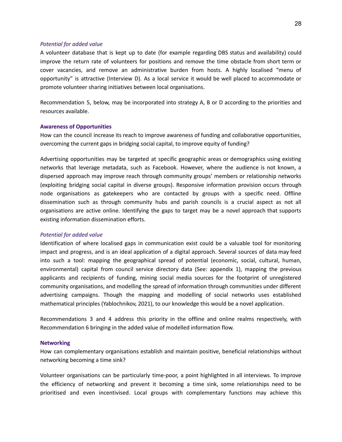#### *Potential for added value*

A volunteer database that is kept up to date (for example regarding DBS status and availability) could improve the return rate of volunteers for positions and remove the time obstacle from short term or cover vacancies, and remove an administrative burden from hosts. A highly localised "menu of opportunity" is attractive (Interview D). As a local service it would be well placed to accommodate or promote volunteer sharing initiatives between local organisations.

Recommendation 5, below, may be incorporated into strategy A, B or D according to the priorities and resources available.

#### **Awareness of Opportunities**

How can the council increase its reach to improve awareness of funding and collaborative opportunities, overcoming the current gaps in bridging social capital, to improve equity of funding?

Advertising opportunities may be targeted at specific geographic areas or demographics using existing networks that leverage metadata, such as Facebook. However, where the audience is not known, a dispersed approach may improve reach through community groups' members or relationship networks (exploiting bridging social capital in diverse groups). Responsive information provision occurs through node organisations as gatekeepers who are contacted by groups with a specific need. Offline dissemination such as through community hubs and parish councils is a crucial aspect as not all organisations are active online. Identifying the gaps to target may be a novel approach that supports existing information dissemination efforts.

#### *Potential for added value*

Identification of where localised gaps in communication exist could be a valuable tool for monitoring impact and progress, and is an ideal application of a digital approach. Several sources of data may feed into such a tool: mapping the geographical spread of potential (economic, social, cultural, human, environmental) capital from council service directory data (See: appendix 1), mapping the previous applicants and recipients of funding, mining social media sources for the footprint of unregistered community organisations, and modelling the spread of information through communities under different advertising campaigns. Though the mapping and modelling of social networks uses established mathematical principles (Yablochnikov, 2021), to our knowledge this would be a novel application.

Recommendations 3 and 4 address this priority in the offline and online realms respectively, with Recommendation 6 bringing in the added value of modelled information flow.

#### **Networking**

How can complementary organisations establish and maintain positive, beneficial relationships without networking becoming a time sink?

Volunteer organisations can be particularly time-poor, a point highlighted in all interviews. To improve the efficiency of networking and prevent it becoming a time sink, some relationships need to be prioritised and even incentivised. Local groups with complementary functions may achieve this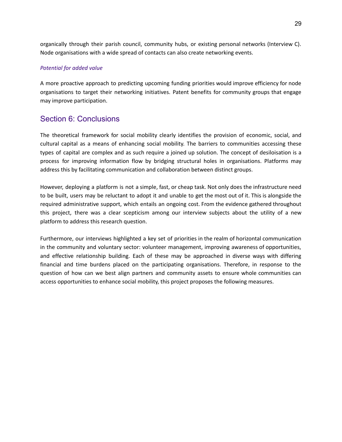organically through their parish council, community hubs, or existing personal networks (Interview C). Node organisations with a wide spread of contacts can also create networking events.

#### *Potential for added value*

A more proactive approach to predicting upcoming funding priorities would improve efficiency for node organisations to target their networking initiatives. Patent benefits for community groups that engage may improve participation.

## <span id="page-28-0"></span>Section 6: Conclusions

The theoretical framework for social mobility clearly identifies the provision of economic, social, and cultural capital as a means of enhancing social mobility. The barriers to communities accessing these types of capital are complex and as such require a joined up solution. The concept of desiloisation is a process for improving information flow by bridging structural holes in organisations. Platforms may address this by facilitating communication and collaboration between distinct groups.

However, deploying a platform is not a simple, fast, or cheap task. Not only does the infrastructure need to be built, users may be reluctant to adopt it and unable to get the most out of it. This is alongside the required administrative support, which entails an ongoing cost. From the evidence gathered throughout this project, there was a clear scepticism among our interview subjects about the utility of a new platform to address this research question.

<span id="page-28-1"></span>Furthermore, our interviews highlighted a key set of priorities in the realm of horizontal communication in the community and voluntary sector: volunteer management, improving awareness of opportunities, and effective relationship building. Each of these may be approached in diverse ways with differing financial and time burdens placed on the participating organisations. Therefore, in response to the question of how can we best align partners and community assets to ensure whole communities can access opportunities to enhance social mobility, this project proposes the following measures.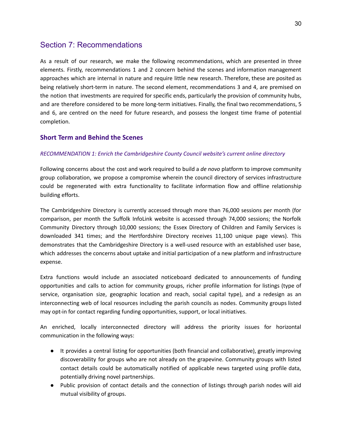## Section 7: Recommendations

As a result of our research, we make the following recommendations, which are presented in three elements. Firstly, recommendations 1 and 2 concern behind the scenes and information management approaches which are internal in nature and require little new research. Therefore, these are posited as being relatively short-term in nature. The second element, recommendations 3 and 4, are premised on the notion that investments are required for specific ends, particularly the provision of community hubs, and are therefore considered to be more long-term initiatives. Finally, the final two recommendations, 5 and 6, are centred on the need for future research, and possess the longest time frame of potential completion.

## **Short Term and Behind the Scenes**

#### *RECOMMENDATION 1: Enrich the Cambridgeshire County Council website's current online directory*

Following concerns about the cost and work required to build a *de novo* platform to improve community group collaboration, we propose a compromise wherein the council directory of services infrastructure could be regenerated with extra functionality to facilitate information flow and offline relationship building efforts.

The Cambridgeshire Directory is currently accessed through more than 76,000 sessions per month (for comparison, per month the Suffolk InfoLink website is accessed through 74,000 sessions; the Norfolk Community Directory through 10,000 sessions; the Essex Directory of Children and Family Services is downloaded 341 times; and the Hertfordshire Directory receives 11,100 unique page views). This demonstrates that the Cambridgeshire Directory is a well-used resource with an established user base, which addresses the concerns about uptake and initial participation of a new platform and infrastructure expense.

Extra functions would include an associated noticeboard dedicated to announcements of funding opportunities and calls to action for community groups, richer profile information for listings (type of service, organisation size, geographic location and reach, social capital type), and a redesign as an interconnecting web of local resources including the parish councils as nodes. Community groups listed may opt-in for contact regarding funding opportunities, support, or local initiatives.

An enriched, locally interconnected directory will address the priority issues for horizontal communication in the following ways:

- It provides a central listing for opportunities (both financial and collaborative), greatly improving discoverability for groups who are not already on the grapevine. Community groups with listed contact details could be automatically notified of applicable news targeted using profile data, potentially driving novel partnerships.
- Public provision of contact details and the connection of listings through parish nodes will aid mutual visibility of groups.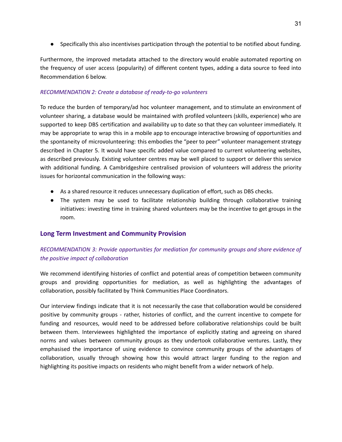● Specifically this also incentivises participation through the potential to be notified about funding.

Furthermore, the improved metadata attached to the directory would enable automated reporting on the frequency of user access (popularity) of different content types, adding a data source to feed into Recommendation 6 below.

#### *RECOMMENDATION 2: Create a database of ready-to-go volunteers*

To reduce the burden of temporary/ad hoc volunteer management, and to stimulate an environment of volunteer sharing, a database would be maintained with profiled volunteers (skills, experience) who are supported to keep DBS certification and availability up to date so that they can volunteer immediately. It may be appropriate to wrap this in a mobile app to encourage interactive browsing of opportunities and the spontaneity of microvolunteering: this embodies the "peer to peer" volunteer management strategy described in Chapter 5. It would have specific added value compared to current volunteering websites, as described previously. Existing volunteer centres may be well placed to support or deliver this service with additional funding. A Cambridgeshire centralised provision of volunteers will address the priority issues for horizontal communication in the following ways:

- As a shared resource it reduces unnecessary duplication of effort, such as DBS checks.
- The system may be used to facilitate relationship building through collaborative training initiatives: investing time in training shared volunteers may be the incentive to get groups in the room.

## **Long Term Investment and Community Provision**

## *RECOMMENDATION 3: Provide opportunities for mediation for community groups and share evidence of the positive impact of collaboration*

We recommend identifying histories of conflict and potential areas of competition between community groups and providing opportunities for mediation, as well as highlighting the advantages of collaboration, possibly facilitated by Think Communities Place Coordinators.

Our interview findings indicate that it is not necessarily the case that collaboration would be considered positive by community groups - rather, histories of conflict, and the current incentive to compete for funding and resources, would need to be addressed before collaborative relationships could be built between them. Interviewees highlighted the importance of explicitly stating and agreeing on shared norms and values between community groups as they undertook collaborative ventures. Lastly, they emphasised the importance of using evidence to convince community groups of the advantages of collaboration, usually through showing how this would attract larger funding to the region and highlighting its positive impacts on residents who might benefit from a wider network of help.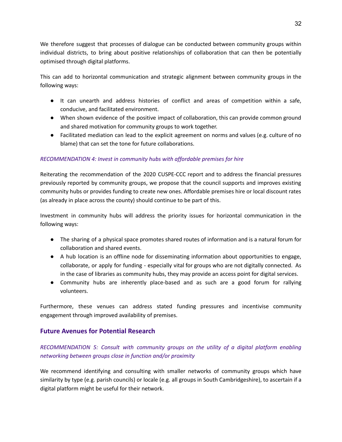We therefore suggest that processes of dialogue can be conducted between community groups within individual districts, to bring about positive relationships of collaboration that can then be potentially optimised through digital platforms.

This can add to horizontal communication and strategic alignment between community groups in the following ways:

- It can unearth and address histories of conflict and areas of competition within a safe, conducive, and facilitated environment.
- When shown evidence of the positive impact of collaboration, this can provide common ground and shared motivation for community groups to work together.
- Facilitated mediation can lead to the explicit agreement on norms and values (e.g. culture of no blame) that can set the tone for future collaborations.

#### *RECOMMENDATION 4: Invest in community hubs with affordable premises for hire*

Reiterating the recommendation of the 2020 CUSPE-CCC report and to address the financial pressures previously reported by community groups, we propose that the council supports and improves existing community hubs or provides funding to create new ones. Affordable premises hire or local discount rates (as already in place across the county) should continue to be part of this.

Investment in community hubs will address the priority issues for horizontal communication in the following ways:

- The sharing of a physical space promotes shared routes of information and is a natural forum for collaboration and shared events.
- A hub location is an offline node for disseminating information about opportunities to engage, collaborate, or apply for funding - especially vital for groups who are not digitally connected. As in the case of libraries as community hubs, they may provide an access point for digital services.
- Community hubs are inherently place-based and as such are a good forum for rallying volunteers.

Furthermore, these venues can address stated funding pressures and incentivise community engagement through improved availability of premises.

## **Future Avenues for Potential Research**

## *RECOMMENDATION 5: Consult with community groups on the utility of a digital platform enabling networking between groups close in function and/or proximity*

We recommend identifying and consulting with smaller networks of community groups which have similarity by type (e.g. parish councils) or locale (e.g. all groups in South Cambridgeshire), to ascertain if a digital platform might be useful for their network.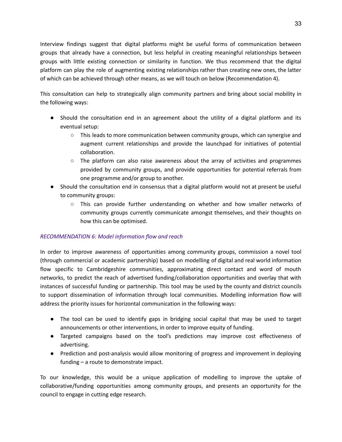Interview findings suggest that digital platforms might be useful forms of communication between groups that already have a connection, but less helpful in creating meaningful relationships between groups with little existing connection or similarity in function. We thus recommend that the digital platform can play the role of augmenting existing relationships rather than creating new ones, the latter of which can be achieved through other means, as we will touch on below (Recommendation 4).

This consultation can help to strategically align community partners and bring about social mobility in the following ways:

- Should the consultation end in an agreement about the utility of a digital platform and its eventual setup:
	- This leads to more communication between community groups, which can synergise and augment current relationships and provide the launchpad for initiatives of potential collaboration.
	- The platform can also raise awareness about the array of activities and programmes provided by community groups, and provide opportunities for potential referrals from one programme and/or group to another.
- Should the consultation end in consensus that a digital platform would not at present be useful to community groups:
	- This can provide further understanding on whether and how smaller networks of community groups currently communicate amongst themselves, and their thoughts on how this can be optimised.

## *RECOMMENDATION 6: Model information flow and reach*

In order to improve awareness of opportunities among community groups, commission a novel tool (through commercial or academic partnership) based on modelling of digital and real world information flow specific to Cambridgeshire communities, approximating direct contact and word of mouth networks, to predict the reach of advertised funding/collaboration opportunities and overlay that with instances of successful funding or partnership. This tool may be used by the county and district councils to support dissemination of information through local communities. Modelling information flow will address the priority issues for horizontal communication in the following ways:

- The tool can be used to identify gaps in bridging social capital that may be used to target announcements or other interventions, in order to improve equity of funding.
- Targeted campaigns based on the tool's predictions may improve cost effectiveness of advertising.
- Prediction and post-analysis would allow monitoring of progress and improvement in deploying funding – a route to demonstrate impact.

To our knowledge, this would be a unique application of modelling to improve the uptake of collaborative/funding opportunities among community groups, and presents an opportunity for the council to engage in cutting edge research.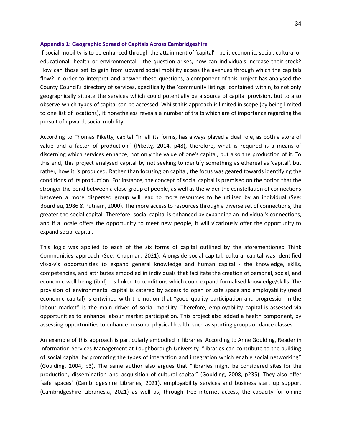#### **Appendix 1: Geographic Spread of Capitals Across Cambridgeshire**

If social mobility is to be enhanced through the attainment of 'capital' - be it economic, social, cultural or educational, health or environmental - the question arises, how can individuals increase their stock? How can those set to gain from upward social mobility access the avenues through which the capitals flow? In order to interpret and answer these questions, a component of this project has analysed the County Council's directory of services, specifically the 'community listings' contained within, to not only geographically situate the services which could potentially be a source of capital provision, but to also observe which types of capital can be accessed. Whilst this approach is limited in scope (by being limited to one list of locations), it nonetheless reveals a number of traits which are of importance regarding the pursuit of upward, social mobility.

According to Thomas Piketty, capital "in all its forms, has always played a dual role, as both a store of value and a factor of production" (Piketty, 2014, p48), therefore, what is required is a means of discerning which services enhance, not only the value of one's capital, but also the production of it. To this end, this project analysed capital by not seeking to identify something as ethereal as 'capital', but rather, how it is produced. Rather than focusing on capital, the focus was geared towards identifying the conditions of its production. For instance, the concept of social capital is premised on the notion that the stronger the bond between a close group of people, as well as the wider the constellation of connections between a more dispersed group will lead to more resources to be utilised by an individual (See: Bourdieu, 1986 & Putnam, 2000). The more access to resources through a diverse set of connections, the greater the social capital. Therefore, social capital is enhanced by expanding an individual's connections, and if a locale offers the opportunity to meet new people, it will vicariously offer the opportunity to expand social capital.

This logic was applied to each of the six forms of capital outlined by the aforementioned Think Communities approach (See: Chapman, 2021). Alongside social capital, cultural capital was identified vis-a-vis opportunities to expand general knowledge and human capital - the knowledge, skills, competencies, and attributes embodied in individuals that facilitate the creation of personal, social, and economic well being (ibid) - is linked to conditions which could expand formalised knowledge/skills. The provision of environmental capital is catered by access to open or safe space and employability (read economic capital) is entwined with the notion that "good quality participation and progression in the labour market" is the main driver of social mobility. Therefore, employability capital is assessed via opportunities to enhance labour market participation. This project also added a health component, by assessing opportunities to enhance personal physical health, such as sporting groups or dance classes.

An example of this approach is particularly embodied in libraries. According to Anne Goulding, Reader in Information Services Management at Loughborough University, "libraries can contribute to the building of social capital by promoting the types of interaction and integration which enable social networking" (Goulding, 2004, p3). The same author also argues that "libraries might be considered sites for the production, dissemination and acquisition of cultural capital" (Goulding, 2008, p235). They also offer 'safe spaces' (Cambridgeshire Libraries, 2021), employability services and business start up support (Cambridgeshire Libraries.a, 2021) as well as, through free internet access, the capacity for online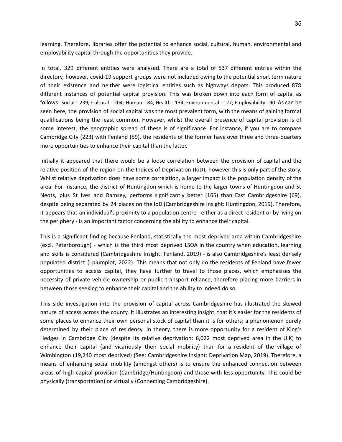learning. Therefore, libraries offer the potential to enhance social, cultural, human, environmental and employability capital through the opportunities they provide.

In total, 329 different entities were analysed. There are a total of 537 different entries within the directory, however, covid-19 support groups were not included owing to the potential short term nature of their existence and neither were logistical entities such as highways depots. This produced 878 different instances of potential capital provision. This was broken down into each form of capital as follows: Social - 239; Cultural - 204; Human - 84; Health - 134; Environmental - 127; Employability - 90. As can be seen here, the provision of social capital was the most prevalent form, with the means of gaining formal qualifications being the least common. However, whilst the overall presence of capital provision is of some interest, the geographic spread of these is of significance. For instance, if you are to compare Cambridge City (223) with Fenland (59), the residents of the former have over three and three-quarters more opportunities to enhance their capital than the latter.

Initially it appeared that there would be a loose correlation between the provision of capital and the relative position of the region on the Indices of Deprivation (IoD), however this is only part of the story. Whilst relative deprivation does have some correlation, a larger impact is the population density of the area. For instance, the district of Huntingdon which is home to the larger towns of Huntingdon and St Neots, plus St Ives and Ramsey, performs significantly better (165) than East Cambridgeshire (69), despite being separated by 24 places on the IoD (Cambridgeshire Insight: Huntingdon, 2019). Therefore, it appears that an individual's proximity to a population centre - either as a direct resident or by living on the periphery - is an important factor concerning the ability to enhance their capital.

This is a significant finding because Fenland, statistically the most deprived area within Cambridgeshire (excl. Peterborough) - which is the third most deprived LSOA in the country when education, learning and skills is considered (Cambridgeshire Insight: Fenland, 2019) - is also Cambridgeshire's least densely populated district (i.plumplot, 2022). This means that not only do the residents of Fenland have fewer opportunities to access capital, they have further to travel to those places, which emphasises the necessity of private vehicle ownership or public transport reliance, therefore placing more barriers in between those seeking to enhance their capital and the ability to indeed do so.

This side investigation into the provision of capital across Cambridgeshire has illustrated the skewed nature of access across the county. It illustrates an interesting insight, that it's easier for the residents of some places to enhance their own personal stock of capital than it is for others; a phenomenon purely determined by their place of residency. In theory, there is more opportunity for a resident of King's Hedges in Cambridge City (despite its relative deprivation: 6,022 most deprived area in the U.K) to enhance their capital (and vicariously their social mobility) than for a resident of the village of Wimbington (19,240 most deprived) (See: Cambridgeshire Insight: Deprivation Map, 2019). Therefore, a means of enhancing social mobility (amongst others) is to ensure the enhanced connection between areas of high capital provision (Cambridge/Huntingdon) and those with less opportunity. This could be physically (transportation) or virtually (Connecting Cambridgeshire).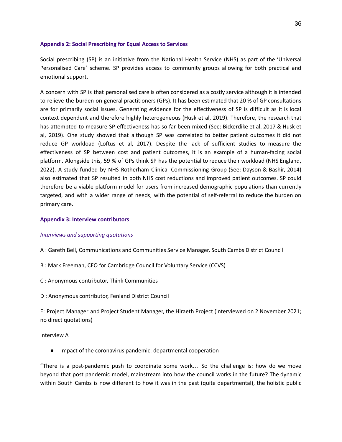#### **Appendix 2: Social Prescribing for Equal Access to Services**

Social prescribing (SP) is an initiative from the National Health Service (NHS) as part of the 'Universal Personalised Care' scheme. SP provides access to community groups allowing for both practical and emotional support.

A concern with SP is that personalised care is often considered as a costly service although it is intended to relieve the burden on general practitioners (GPs). It has been estimated that 20 % of GP consultations are for primarily social issues. Generating evidence for the effectiveness of SP is difficult as it is local context dependent and therefore highly heterogeneous (Husk et al, 2019). Therefore, the research that has attempted to measure SP effectiveness has so far been mixed (See: Bickerdike et al, 2017 & Husk et al, 2019). One study showed that although SP was correlated to better patient outcomes it did not reduce GP workload (Loftus et al, 2017). Despite the lack of sufficient studies to measure the effectiveness of SP between cost and patient outcomes, it is an example of a human-facing social platform. Alongside this, 59 % of GPs think SP has the potential to reduce their workload (NHS England, 2022). A study funded by NHS Rotherham Clinical Commissioning Group (See: Dayson & Bashir, 2014) also estimated that SP resulted in both NHS cost reductions and improved patient outcomes. SP could therefore be a viable platform model for users from increased demographic populations than currently targeted, and with a wider range of needs, with the potential of self-referral to reduce the burden on primary care.

#### **Appendix 3: Interview contributors**

#### *Interviews and supporting quotations*

A : Gareth Bell, Communications and Communities Service Manager, South Cambs District Council

- B : Mark Freeman, CEO for Cambridge Council for Voluntary Service (CCVS)
- C : Anonymous contributor, Think Communities
- D : Anonymous contributor, Fenland District Council

E: Project Manager and Project Student Manager, the Hiraeth Project (interviewed on 2 November 2021; no direct quotations)

Interview A

● Impact of the coronavirus pandemic: departmental cooperation

"There is a post-pandemic push to coordinate some work… So the challenge is: how do we move beyond that post pandemic model, mainstream into how the council works in the future? The dynamic within South Cambs is now different to how it was in the past (quite departmental), the holistic public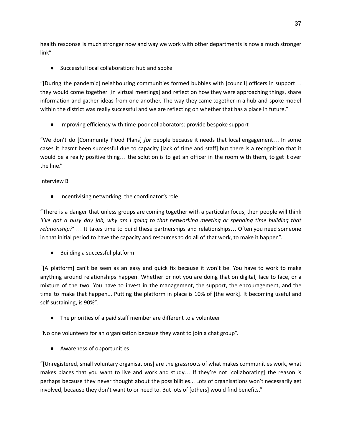health response is much stronger now and way we work with other departments is now a much stronger link"

● Successful local collaboration: hub and spoke

"[During the pandemic] neighbouring communities formed bubbles with [council] officers in support… they would come together [in virtual meetings] and reflect on how they were approaching things, share information and gather ideas from one another. The way they came together in a hub-and-spoke model within the district was really successful and we are reflecting on whether that has a place in future."

● Improving efficiency with time-poor collaborators: provide bespoke support

"We don't do [Community Flood Plans] *for* people because it needs that local engagement… In some cases it hasn't been successful due to capacity [lack of time and staff] but there is a recognition that it would be a really positive thing… the solution is to get an officer in the room with them, to get it over the line."

## Interview B

● Incentivising networking: the coordinator's role

"There is a danger that unless groups are coming together with a particular focus, then people will think 'I've got a busy day job, why am I going to that networking meeting or spending time building that *relationship?'* … It takes time to build these partnerships and relationships… Often you need someone in that initial period to have the capacity and resources to do all of that work, to make it happen".

● Building a successful platform

"[A platform] can't be seen as an easy and quick fix because it won't be. You have to work to make anything around relationships happen. Whether or not you are doing that on digital, face to face, or a mixture of the two. You have to invest in the management, the support, the encouragement, and the time to make that happen... Putting the platform in place is 10% of [the work]. It becoming useful and self-sustaining, is 90%".

● The priorities of a paid staff member are different to a volunteer

"No one volunteers for an organisation because they want to join a chat group".

● Awareness of opportunities

"[Unregistered, small voluntary organisations] are the grassroots of what makes communities work, what makes places that you want to live and work and study… If they're not [collaborating] the reason is perhaps because they never thought about the possibilities... Lots of organisations won't necessarily get involved, because they don't want to or need to. But lots of [others] would find benefits."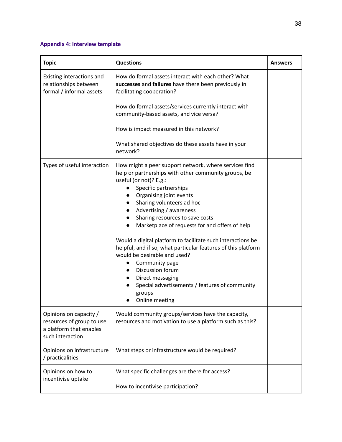## **Appendix 4: Interview template**

| <b>Topic</b>                                                                                       | <b>Questions</b>                                                                                                                                                                                                                                                                                                                                                                                                                                                                                                                                                                                                                                                                                                               | <b>Answers</b> |
|----------------------------------------------------------------------------------------------------|--------------------------------------------------------------------------------------------------------------------------------------------------------------------------------------------------------------------------------------------------------------------------------------------------------------------------------------------------------------------------------------------------------------------------------------------------------------------------------------------------------------------------------------------------------------------------------------------------------------------------------------------------------------------------------------------------------------------------------|----------------|
| Existing interactions and<br>relationships between<br>formal / informal assets                     | How do formal assets interact with each other? What<br>successes and failures have there been previously in<br>facilitating cooperation?                                                                                                                                                                                                                                                                                                                                                                                                                                                                                                                                                                                       |                |
|                                                                                                    | How do formal assets/services currently interact with<br>community-based assets, and vice versa?                                                                                                                                                                                                                                                                                                                                                                                                                                                                                                                                                                                                                               |                |
|                                                                                                    | How is impact measured in this network?                                                                                                                                                                                                                                                                                                                                                                                                                                                                                                                                                                                                                                                                                        |                |
|                                                                                                    | What shared objectives do these assets have in your<br>network?                                                                                                                                                                                                                                                                                                                                                                                                                                                                                                                                                                                                                                                                |                |
| Types of useful interaction                                                                        | How might a peer support network, where services find<br>help or partnerships with other community groups, be<br>useful (or not)? E.g.:<br>Specific partnerships<br>$\bullet$<br>Organising joint events<br>Sharing volunteers ad hoc<br>$\bullet$<br>Advertising / awareness<br>$\bullet$<br>Sharing resources to save costs<br>$\bullet$<br>Marketplace of requests for and offers of help<br>Would a digital platform to facilitate such interactions be<br>helpful, and if so, what particular features of this platform<br>would be desirable and used?<br>Community page<br>Discussion forum<br>$\bullet$<br>Direct messaging<br>$\bullet$<br>Special advertisements / features of community<br>groups<br>Online meeting |                |
| Opinions on capacity /<br>resources of group to use<br>a platform that enables<br>such interaction | Would community groups/services have the capacity,<br>resources and motivation to use a platform such as this?                                                                                                                                                                                                                                                                                                                                                                                                                                                                                                                                                                                                                 |                |
| Opinions on infrastructure<br>/ practicalities                                                     | What steps or infrastructure would be required?                                                                                                                                                                                                                                                                                                                                                                                                                                                                                                                                                                                                                                                                                |                |
| Opinions on how to<br>incentivise uptake                                                           | What specific challenges are there for access?                                                                                                                                                                                                                                                                                                                                                                                                                                                                                                                                                                                                                                                                                 |                |
|                                                                                                    | How to incentivise participation?                                                                                                                                                                                                                                                                                                                                                                                                                                                                                                                                                                                                                                                                                              |                |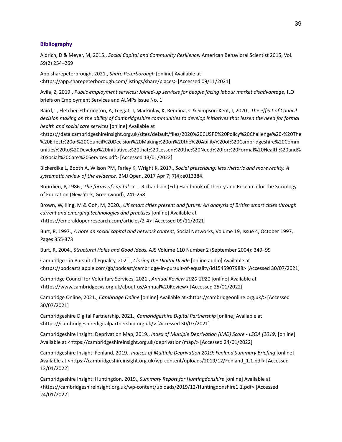#### **Bibliography**

Aldrich, D & Meyer, M, 2015., *Social Capital and Community Resilience,* American Behavioral Scientist 2015, Vol. 59(2) 254–269

App.sharepeterbrough, 2021., *Share Peterborough* [online] Available at <https://app.sharepeterborough.com/listings/share/places> [Accessed 09/11/2021]

Avila, Z, 2019., *Public employment services: Joined-up services for people facing labour market disadvantage,* ILO briefs on Employment Services and ALMPs Issue No. 1

Baird, T, Fletcher-Etherington, A, Leggat, J, Mackinlay, K, Rendina, C & Simpson-Kent, I, 2020., *The effect of Council* decision making on the ability of Cambridgeshire communities to develop initiatives that lessen the need for formal *health and social care services* [online] Available at

<https://data.cambridgeshireinsight.org.uk/sites/default/files/2020%20CUSPE%20Policy%20Challenge%20-%20The %20Effect%20of%20Council%20Decision%20Making%20on%20the%20Ability%20of%20Cambridgeshire%20Comm unities%20to%20Develop%20Initiatives%20that%20Lessen%20the%20Need%20for%20Formal%20Health%20and% 20Social%20Care%20Services.pdf> [Accessed 13/01/2022]

Bickerdike L, Booth A, Wilson PM, Farley K, Wright K, 2017., *Social prescribing: less rhetoric and more reality. A systematic review of the evidence.* BMJ Open. 2017 Apr 7; 7(4):e013384.

Bourdieu, P, 1986., *The forms of capital*. In J. Richardson (Ed.) Handbook of Theory and Research for the Sociology of Education (New York, Greenwood), 241-258.

Brown, W, King, M & Goh, M, 2020., *UK smart cities present and future: An analysis of British smart cities through current and emerging technologies and practises* [online] Available at <https://emeraldopenresearch.com/articles/2-4> [Accessed 09/11/2021]

Burt, R, 1997., *A note on social capital and network content,* Social Networks, Volume 19, Issue 4, October 1997, Pages 355-373

Burt, R, 2004., *Structural Holes and Good Ideas,* AJS Volume 110 Number 2 (September 2004): 349–99

Cambridge - in Pursuit of Equality, 2021., *Closing the Digital Divide* [online audio] Available at <https://podcasts.apple.com/gb/podcast/cambridge-in-pursuit-of-equality/id1545907988> [Accessed 30/07/2021]

Cambridge Council for Voluntary Services, 2021., *Annual Review 2020-2021* [online] Available at <https://www.cambridgecvs.org.uk/about-us/Annual%20Review> [Accessed 25/01/2022]

Cambridge Online, 2021., *Cambridge Online* [online] Available at <https://cambridgeonline.org.uk/> [Accessed 30/07/2021]

Cambridgeshire Digital Partnership, 2021., *Cambridgeshire Digital Partnership* [online] Available at <https://cambridgeshiredigitalpartnership.org.uk/> [Accessed 30/07/2021]

Cambridgeshire Insight: Deprivation Map, 2019., *Index of Multiple Deprivation (IMD) Score - LSOA (2019)* [online] Available at <https://cambridgeshireinsight.org.uk/deprivation/map/> [Accessed 24/01/2022]

Cambridgeshire Insight: Fenland, 2019., *Indices of Multiple Deprivation 2019: Fenland Summary Briefing* [online] Available at <https://cambridgeshireinsight.org.uk/wp-content/uploads/2019/12/Fenland\_1.1.pdf> [Accessed 13/01/2022]

Cambridgeshire Insight: Huntingdon, 2019., *Summary Report for Huntingdonshire* [online] Available at <https://cambridgeshireinsight.org.uk/wp-content/uploads/2019/12/Huntingdonshire1.1.pdf> [Accessed 24/01/2022]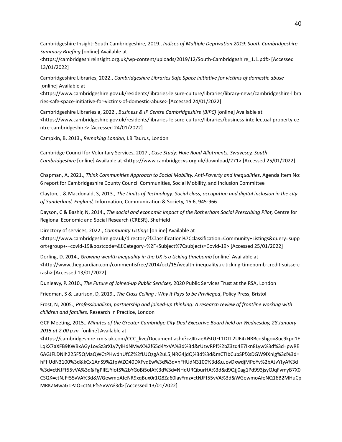Cambridgeshire Insight: South Cambridgeshire, 2019., *Indices of Multiple Deprivation 2019: South Cambridgeshire Summary Briefing* [online] Available at

<https://cambridgeshireinsight.org.uk/wp-content/uploads/2019/12/South-Cambridgeshire\_1.1.pdf> [Accessed 13/01/2022]

Cambridgeshire Libraries, 2022., *Cambridgeshire Libraries Safe Space initiative for victims of domestic abuse* [online] Available at

<https://www.cambridgeshire.gov.uk/residents/libraries-leisure-culture/libraries/library-news/cambridgeshire-libra ries-safe-space-initiative-for-victims-of-domestic-abuse> [Accessed 24/01/2022]

Cambridgeshire Libraries.a, 2022., *Business & IP Centre Cambridgeshire (BIPC)* [online] Available at <https://www.cambridgeshire.gov.uk/residents/libraries-leisure-culture/libraries/business-intellectual-property-ce ntre-cambridgeshire> [Accessed 24/01/2022]

Campkin, B, 2013., *Remaking London,* I.B Taurus, London

Cambridge Council for Voluntary Services, 2017., *Case Study: Hale Road Allotments, Swavesey, South Cambridgeshire* [online] Available at <https://www.cambridgecvs.org.uk/download/271> [Accessed 25/01/2022]

Chapman, A, 2021., *Think Communities Approach to Social Mobility, Anti-Poverty and Inequalities*, Agenda Item No: 6 report for Cambridgeshire County Council Communities, Social Mobility, and Inclusion Committee

Clayton, J & Macdonald, S, 2013., *The Limits of Technology: Social class, occupation and digital inclusion in the city of Sunderland, England,* Information, Communication & Society, 16:6, 945-966

Dayson, C & Bashir, N, 2014., *The social and economic impact of the Rotherham Social Prescribing Pilot,* Centre for Regional Economic and Social Research (CRESR), Sheffield

Directory of services, 2022., *Community Listings* [online] Available at <https://www.cambridgeshire.gov.uk/directory?f.Classification%7Cclassification=Community+Listings&query=supp ort+group+-+covid-19&postcode=&f.Category+%2F+Subject%7Csubjects=Covid-19> [Accessed 25/01/2022]

Dorling, D, 2014., *Growing wealth inequality in the UK is a ticking timebomb* [online] Available at <http://www.theguardian.com/commentisfree/2014/oct/15/wealth-inequalityuk-ticking-timebomb-credit-suisse-c rash> [Accessed 13/01/2022]

Dunleavy, P, 2010., *The Future of Joined-up Public Services,* 2020 Public Services Trust at the RSA, London

Friedman, S & Laurison, D, 2019., *The Class Ceiling : Why it Pays to be Privileged*, Policy Press, Bristol

Frost, N, 2005., *Professionalism, partnership and joined-up thinking: A research review of frontline working with children and families,* Research in Practice, London

GCP Meeting, 2015., *Minutes of the Greater Cambridge City Deal Executive Board held on Wednesday, 28 January 2015 at 2.00 p.m.* [online] Available at

<https://cambridgeshire.cmis.uk.com/CCC\_live/Document.ashx?czJKcaeAi5tUFL1DTL2UE4zNRBcoShgo=8uc9kpd1E LqkX7aXFB9KWBxAGy1ovSz3rXLy7yiHdNMwX%2f65d4YxVA%3d%3d&rUzwRPf%2bZ3zd4E7Ikn8Lyw%3d%3d=pwRE 6AGJFLDNlh225F5QMaQWCtPHwdhUfCZ%2fLUQzgA2uL5jNRG4jdQ%3d%3d&mCTIbCubSFfXsDGW9IXnlg%3d%3d= hFflUdN3100%3d&kCx1AnS9%2fpWZQ40DXFvdEw%3d%3d=hFflUdN3100%3d&uJovDxwdjMPoYv%2bAJvYtyA%3d %3d=ctNJFf55vVA%3d&FgPlIEJYlotS%2bYGoBi5olA%3d%3d=NHdURQburHA%3d&d9Qjj0ag1Pd993jsyOJqFvmyB7X0 CSQK=ctNJFf55vVA%3d&WGewmoAfeNR9xqBux0r1Q8Za60lavYmz=ctNJFf55vVA%3d&WGewmoAfeNQ16B2MHuCp MRKZMwaG1PaO=ctNJFf55vVA%3d> [Accessed 13/01/2022]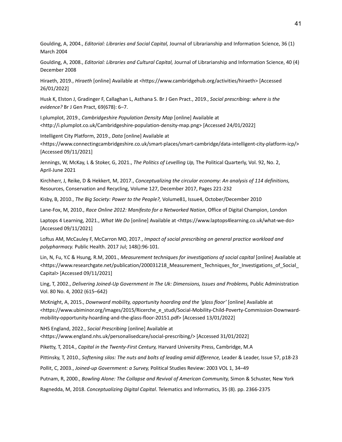Goulding, A, 2004., *Editorial: Libraries and Social Capital,* Journal of Librarianship and Information Science, 36 (1) March 2004

Goulding, A, 2008., *Editorial: Libraries and Cultural Capital,* Journal of Librarianship and Information Science, 40 (4) December 2008

Hiraeth, 2019., *Hiraeth* [online] Available at <https://www.cambridgehub.org/activities/hiraeth> [Accessed 26/01/2022]

Husk K, Elston J, Gradinger F, Callaghan L, Asthana S. Br J Gen Pract., 2019., *Social prescribing: where is the evidence?* Br J Gen Pract, 69(678): 6–7.

I.plumplot, 2019., *Cambridgeshire Population Density Map* [online] Available at <http://i.plumplot.co.uk/Cambridgeshire-population-density-map.png> [Accessed 24/01/2022]

Intelligent City Platform, 2019., *Data* [online] Available at <https://www.connectingcambridgeshire.co.uk/smart-places/smart-cambridge/data-intelligent-city-platform-icp/> [Accessed 09/11/2021]

Jennings, W, McKay, L & Stoker, G, 2021., *The Politics of Levelling Up,* The Political Quarterly, Vol. 92, No. 2, April-June 2021

Kirchherr, J, Reike, D & Hekkert, M, 2017., *Conceptualizing the circular economy: An analysis of 114 definitions,* Resources, Conservation and Recycling, Volume 127, December 2017, Pages 221-232

Kisby, B, 2010., *The Big Society: Power to the People?,* Volume81, Issue4, October/December 2010

Lane-Fox, M, 2010., *Race Online 2012: Manifesto for a Networked Nation*, Office of Digital Champion, London

Laptops 4 Learning, 2021., *What We Do* [online] Available at <https://www.laptops4learning.co.uk/what-we-do> [Accessed 09/11/2021]

Loftus AM, McCauley F, McCarron MO, 2017., *Impact of social prescribing on general practice workload and polypharmacy.* Public Health. 2017 Jul; 148():96-101.

Lin, N, Fu, Y.C & Hsung*,* R.M, 2001., *Measurement techniques for investigations of social capital* [online] Available at <https://www.researchgate.net/publication/200031218\_Measurement\_Techniques\_for\_Investigations\_of\_Social\_ Capital> [Accessed 09/11/2021]

Ling, T, 2002., *Delivering Joined-Up Government in The Uk: Dimensions, Issues and Problems,* Public Administration Vol. 80 No. 4, 2002 (615–642)

McKnight, A, 2015., *Downward mobility, opportunity hoarding and the 'glass floor'* [online] Available at <https://www.ubiminor.org/images/2015/Ricerche\_e\_studi/Social-Mobility-Child-Poverty-Commission-Downwardmobility-opportunity-hoarding-and-the-glass-floor-20151.pdf> [Accessed 13/01/2022]

NHS England, 2022., *Social Prescribing* [online] Available at <https://www.england.nhs.uk/personalisedcare/social-prescribing/> [Accessed 31/01/2022]

Piketty, T, 2014., *Capital in the Twenty-First Century,* Harvard University Press, Cambridge, M.A

Pittinsky, T, 2010., *Softening silos: The nuts and bolts of leading amid difference,* Leader & Leader, Issue 57, p18-23

Pollit, C, 2003., *Joined-up Government: a Survey,* Political Studies Review: 2003 VOL 1, 34–49

Putnam, R, 2000., *Bowling Alone: The Collapse and Revival of American Community,* Simon & Schuster, New York

Ragnedda, M, 2018. *Conceptualizing Digital Capital*. Telematics and Informatics, 35 (8). pp. 2366-2375